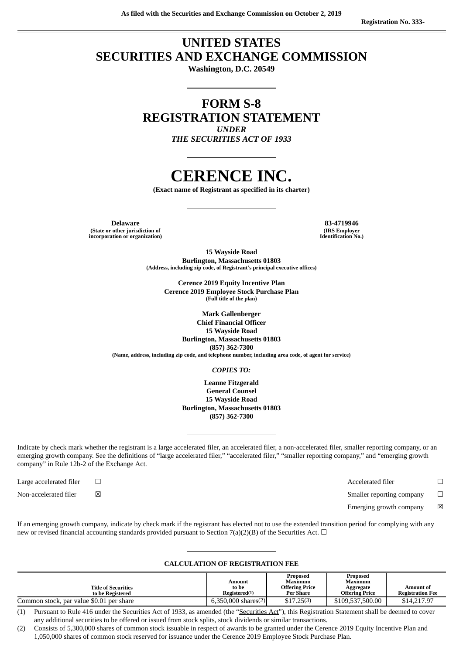# **UNITED STATES SECURITIES AND EXCHANGE COMMISSION**

**Washington, D.C. 20549**

# **FORM S-8 REGISTRATION STATEMENT** *UNDER*

*THE SECURITIES ACT OF 1933*

# **CERENCE INC.**

**(Exact name of Registrant as specified in its charter)**

**Delaware 83-4719946 (State or other jurisdiction of incorporation or organization)**

**(IRS Employer Identification No.)**

**15 Wayside Road Burlington, Massachusetts 01803 (Address, including zip code, of Registrant's principal executive offices)**

> **Cerence 2019 Equity Incentive Plan Cerence 2019 Employee Stock Purchase Plan (Full title of the plan)**

> > **Mark Gallenberger Chief Financial Officer**

**15 Wayside Road Burlington, Massachusetts 01803 (857) 362-7300 (Name, address, including zip code, and telephone number, including area code, of agent for service)**

#### *COPIES TO:*

**Leanne Fitzgerald General Counsel 15 Wayside Road Burlington, Massachusetts 01803 (857) 362-7300**

Indicate by check mark whether the registrant is a large accelerated filer, an accelerated filer, a non-accelerated filer, smaller reporting company, or an emerging growth company. See the definitions of "large accelerated filer," "accelerated filer," "smaller reporting company," and "emerging growth company" in Rule 12b-2 of the Exchange Act.

Large accelerated filer ☐ Accelerated filer ☐

Non-accelerated filer  $□$  ⊠ smaller reporting company  $□$ 

Emerging growth company  $\boxtimes$ 

If an emerging growth company, indicate by check mark if the registrant has elected not to use the extended transition period for complying with any new or revised financial accounting standards provided pursuant to Section 7(a)(2)(B) of the Securities Act.  $\Box$ 

#### **CALCULATION OF REGISTRATION FEE**

| <b>Title of Securities</b>               | Amount<br>to be       | Proposed<br>Maximum<br><b>Offering Price</b> | Proposed<br>Maximum<br>Aggregate | Amount of               |
|------------------------------------------|-----------------------|----------------------------------------------|----------------------------------|-------------------------|
| to be Registered                         | Registered(1)         | Per Share                                    | Offering Price                   | <b>Registration Fee</b> |
| Common stock, par value \$0.01 per share | $6.350.000$ shares(2) | \$17.25(3)                                   | \$109,537,500.00                 | \$14,217.97             |

(1) Pursuant to Rule 416 under the Securities Act of 1933, as amended (the "Securities Act"), this Registration Statement shall be deemed to cover any additional securities to be offered or issued from stock splits, stock dividends or similar transactions.

(2) Consists of 5,300,000 shares of common stock issuable in respect of awards to be granted under the Cerence 2019 Equity Incentive Plan and 1,050,000 shares of common stock reserved for issuance under the Cerence 2019 Employee Stock Purchase Plan.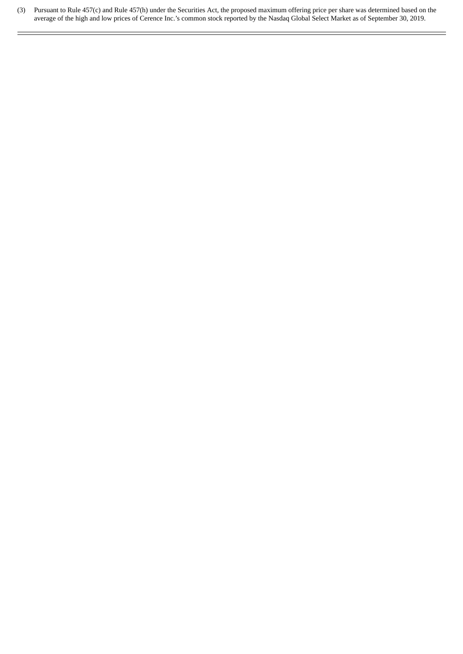(3) Pursuant to Rule 457(c) and Rule 457(h) under the Securities Act, the proposed maximum offering price per share was determined based on the average of the high and low prices of Cerence Inc.'s common stock reported by the Nasdaq Global Select Market as of September 30, 2019.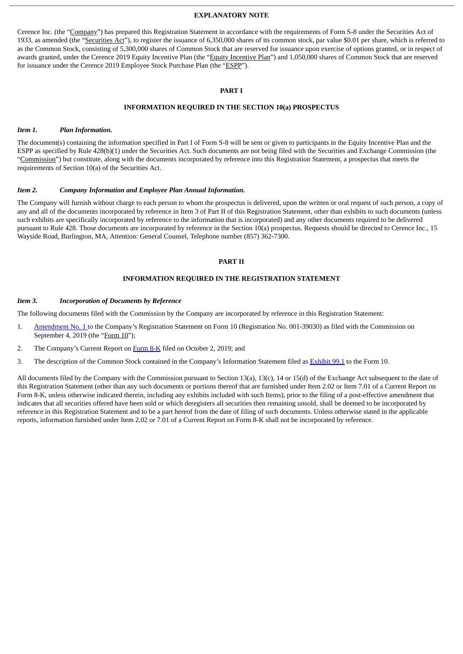#### **EXPLANATORY NOTE**

Cerence Inc. (the "Company") has prepared this Registration Statement in accordance with the requirements of Form S-8 under the Securities Act of 1933, as amended (the "Securities Act"), to register the issuance of 6,350,000 shares of its common stock, par value \$0.01 per share, which is referred to as the Common Stock, consisting of 5,300,000 shares of Common Stock that are reserved for issuance upon exercise of options granted, or in respect of awards granted, under the Cerence 2019 Equity Incentive Plan (the "Equity Incentive Plan") and 1,050,000 shares of Common Stock that are reserved for issuance under the Cerence 2019 Employee Stock Purchase Plan (the "ESPP").

#### **PART I**

# **INFORMATION REQUIRED IN THE SECTION 10(a) PROSPECTUS**

#### *Item 1. Plan Information.*

The document(s) containing the information specified in Part I of Form S-8 will be sent or given to participants in the Equity Incentive Plan and the ESPP as specified by Rule 428(b)(1) under the Securities Act. Such documents are not being filed with the Securities and Exchange Commission (the "Commission") but constitute, along with the documents incorporated by reference into this Registration Statement, a prospectus that meets the requirements of Section 10(a) of the Securities Act.

#### *Item 2. Company Information and Employee Plan Annual Information.*

The Company will furnish without charge to each person to whom the prospectus is delivered, upon the written or oral request of such person, a copy of any and all of the documents incorporated by reference in Item 3 of Part II of this Registration Statement, other than exhibits to such documents (unless such exhibits are specifically incorporated by reference to the information that is incorporated) and any other documents required to be delivered pursuant to Rule 428. Those documents are incorporated by reference in the Section 10(a) prospectus. Requests should be directed to Cerence Inc., 15 Wayside Road, Burlington, MA, Attention: General Counsel, Telephone number (857) 362-7300.

#### **PART II**

# **INFORMATION REQUIRED IN THE REGISTRATION STATEMENT**

#### *Item 3. Incorporation of Documents by Reference*

The following documents filed with the Commission by the Company are incorporated by reference in this Registration Statement:

- 1. [Amendment](http://www.sec.gov/Archives/edgar/data/1768267/000119312519237809/d746279d1012ba.htm) No. 1 to the Company's Registration Statement on Form 10 (Registration No. 001-39030) as filed with the Commission on September 4, 2019 (the "Form 10");
- 2. The Company's Current Report on [Form](http://www.sec.gov/Archives/edgar/data/1768267/000119312519260136/d750594d8k.htm) 8-K filed on October 2, 2019; and
- 3. The description of the Common Stock contained in the Company's Information Statement filed as **[Exhibit](http://www.sec.gov/Archives/edgar/data/1768267/000119312519237809/d746279dex991.htm) 99.1** to the Form 10.

All documents filed by the Company with the Commission pursuant to Section 13(a), 13(c), 14 or 15(d) of the Exchange Act subsequent to the date of this Registration Statement (other than any such documents or portions thereof that are furnished under Item 2.02 or Item 7.01 of a Current Report on Form 8-K, unless otherwise indicated therein, including any exhibits included with such Items), prior to the filing of a post-effective amendment that indicates that all securities offered have been sold or which deregisters all securities then remaining unsold, shall be deemed to be incorporated by reference in this Registration Statement and to be a part hereof from the date of filing of such documents. Unless otherwise stated in the applicable reports, information furnished under Item 2.02 or 7.01 of a Current Report on Form 8-K shall not be incorporated by reference.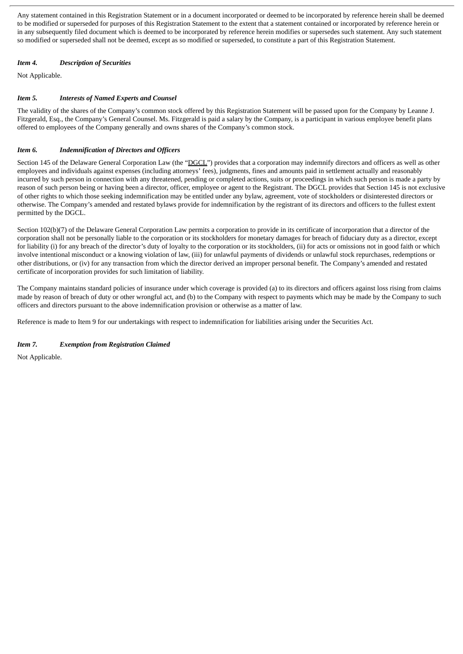Any statement contained in this Registration Statement or in a document incorporated or deemed to be incorporated by reference herein shall be deemed to be modified or superseded for purposes of this Registration Statement to the extent that a statement contained or incorporated by reference herein or in any subsequently filed document which is deemed to be incorporated by reference herein modifies or supersedes such statement. Any such statement so modified or superseded shall not be deemed, except as so modified or superseded, to constitute a part of this Registration Statement.

# *Item 4. Description of Securities*

Not Applicable.

# *Item 5. Interests of Named Experts and Counsel*

The validity of the shares of the Company's common stock offered by this Registration Statement will be passed upon for the Company by Leanne J. Fitzgerald, Esq., the Company's General Counsel. Ms. Fitzgerald is paid a salary by the Company, is a participant in various employee benefit plans offered to employees of the Company generally and owns shares of the Company's common stock.

# *Item 6. Indemnification of Directors and Officers*

Section 145 of the Delaware General Corporation Law (the "DGCL") provides that a corporation may indemnify directors and officers as well as other employees and individuals against expenses (including attorneys' fees), judgments, fines and amounts paid in settlement actually and reasonably incurred by such person in connection with any threatened, pending or completed actions, suits or proceedings in which such person is made a party by reason of such person being or having been a director, officer, employee or agent to the Registrant. The DGCL provides that Section 145 is not exclusive of other rights to which those seeking indemnification may be entitled under any bylaw, agreement, vote of stockholders or disinterested directors or otherwise. The Company's amended and restated bylaws provide for indemnification by the registrant of its directors and officers to the fullest extent permitted by the DGCL.

Section 102(b)(7) of the Delaware General Corporation Law permits a corporation to provide in its certificate of incorporation that a director of the corporation shall not be personally liable to the corporation or its stockholders for monetary damages for breach of fiduciary duty as a director, except for liability (i) for any breach of the director's duty of loyalty to the corporation or its stockholders, (ii) for acts or omissions not in good faith or which involve intentional misconduct or a knowing violation of law, (iii) for unlawful payments of dividends or unlawful stock repurchases, redemptions or other distributions, or (iv) for any transaction from which the director derived an improper personal benefit. The Company's amended and restated certificate of incorporation provides for such limitation of liability.

The Company maintains standard policies of insurance under which coverage is provided (a) to its directors and officers against loss rising from claims made by reason of breach of duty or other wrongful act, and (b) to the Company with respect to payments which may be made by the Company to such officers and directors pursuant to the above indemnification provision or otherwise as a matter of law.

Reference is made to Item 9 for our undertakings with respect to indemnification for liabilities arising under the Securities Act.

# *Item 7. Exemption from Registration Claimed*

Not Applicable.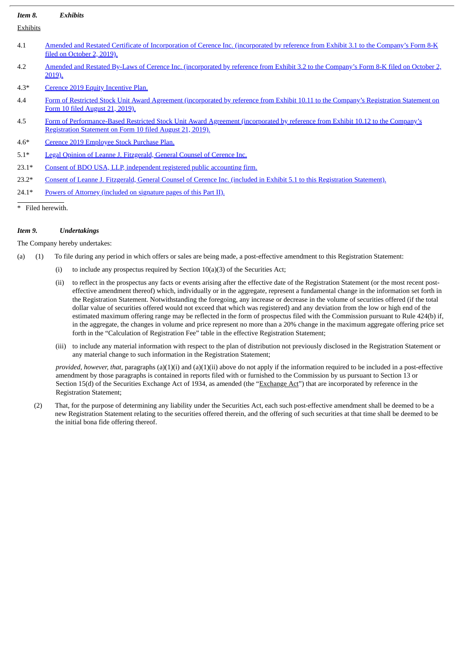| Item 8.  | <b>Exhibits</b>                                                                                                                                                                             |
|----------|---------------------------------------------------------------------------------------------------------------------------------------------------------------------------------------------|
| Exhibits |                                                                                                                                                                                             |
| 4.1      | Amended and Restated Certificate of Incorporation of Cerence Inc. (incorporated by reference from Exhibit 3.1 to the Company's Form 8-K<br>filed on October 2, 2019).                       |
| 4.2      | Amended and Restated By-Laws of Cerence Inc. (incorporated by reference from Exhibit 3.2 to the Company's Form 8-K filed on October 2,<br>2019).                                            |
| $4.3*$   | Cerence 2019 Equity Incentive Plan.                                                                                                                                                         |
| 4.4      | Form of Restricted Stock Unit Award Agreement (incorporated by reference from Exhibit 10.11 to the Company's Registration Statement on<br><u>Form 10 filed August 21, 2019).</u>            |
| 4.5      | Form of Performance-Based Restricted Stock Unit Award Agreement (incorporated by reference from Exhibit 10.12 to the Company's<br>Registration Statement on Form 10 filed August 21, 2019). |
| $4.6*$   | Cerence 2019 Employee Stock Purchase Plan.                                                                                                                                                  |
| $5.1*$   | Legal Opinion of Leanne J. Fitzgerald, General Counsel of Cerence Inc.                                                                                                                      |
| $23.1*$  | Consent of BDO USA, LLP, independent registered public accounting firm.                                                                                                                     |
| $23.2*$  | Consent of Leanne J. Fitzgerald, General Counsel of Cerence Inc. (included in Exhibit 5.1 to this Registration Statement).                                                                  |
| $24.1*$  | Powers of Attorney (included on signature pages of this Part II).                                                                                                                           |
|          | * Filed herewith.                                                                                                                                                                           |

# *Item 9. Undertakings*

# The Company hereby undertakes:

(a) (1) To file during any period in which offers or sales are being made, a post-effective amendment to this Registration Statement:

- (i) to include any prospectus required by Section  $10(a)(3)$  of the Securities Act;
- (ii) to reflect in the prospectus any facts or events arising after the effective date of the Registration Statement (or the most recent posteffective amendment thereof) which, individually or in the aggregate, represent a fundamental change in the information set forth in the Registration Statement. Notwithstanding the foregoing, any increase or decrease in the volume of securities offered (if the total dollar value of securities offered would not exceed that which was registered) and any deviation from the low or high end of the estimated maximum offering range may be reflected in the form of prospectus filed with the Commission pursuant to Rule 424(b) if, in the aggregate, the changes in volume and price represent no more than a 20% change in the maximum aggregate offering price set forth in the "Calculation of Registration Fee" table in the effective Registration Statement;
- (iii) to include any material information with respect to the plan of distribution not previously disclosed in the Registration Statement or any material change to such information in the Registration Statement;

*provided, however, that,* paragraphs (a)(1)(i) and (a)(1)(ii) above do not apply if the information required to be included in a post-effective amendment by those paragraphs is contained in reports filed with or furnished to the Commission by us pursuant to Section 13 or Section 15(d) of the Securities Exchange Act of 1934, as amended (the "Exchange Act") that are incorporated by reference in the Registration Statement;

(2) That, for the purpose of determining any liability under the Securities Act, each such post-effective amendment shall be deemed to be a new Registration Statement relating to the securities offered therein, and the offering of such securities at that time shall be deemed to be the initial bona fide offering thereof.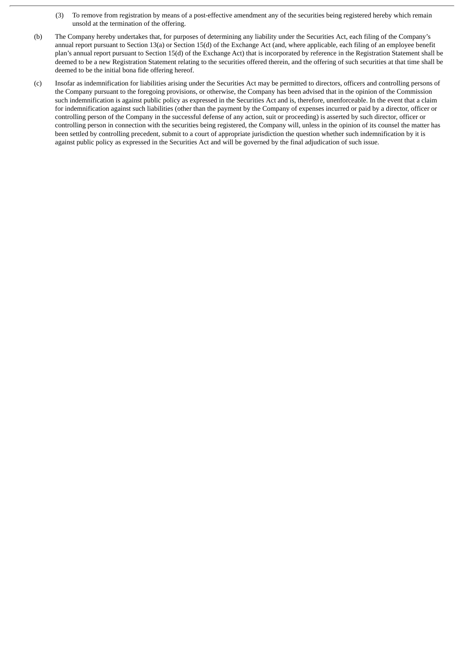- (3) To remove from registration by means of a post-effective amendment any of the securities being registered hereby which remain unsold at the termination of the offering.
- (b) The Company hereby undertakes that, for purposes of determining any liability under the Securities Act, each filing of the Company's annual report pursuant to Section 13(a) or Section 15(d) of the Exchange Act (and, where applicable, each filing of an employee benefit plan's annual report pursuant to Section 15(d) of the Exchange Act) that is incorporated by reference in the Registration Statement shall be deemed to be a new Registration Statement relating to the securities offered therein, and the offering of such securities at that time shall be deemed to be the initial bona fide offering hereof.
- (c) Insofar as indemnification for liabilities arising under the Securities Act may be permitted to directors, officers and controlling persons of the Company pursuant to the foregoing provisions, or otherwise, the Company has been advised that in the opinion of the Commission such indemnification is against public policy as expressed in the Securities Act and is, therefore, unenforceable. In the event that a claim for indemnification against such liabilities (other than the payment by the Company of expenses incurred or paid by a director, officer or controlling person of the Company in the successful defense of any action, suit or proceeding) is asserted by such director, officer or controlling person in connection with the securities being registered, the Company will, unless in the opinion of its counsel the matter has been settled by controlling precedent, submit to a court of appropriate jurisdiction the question whether such indemnification by it is against public policy as expressed in the Securities Act and will be governed by the final adjudication of such issue.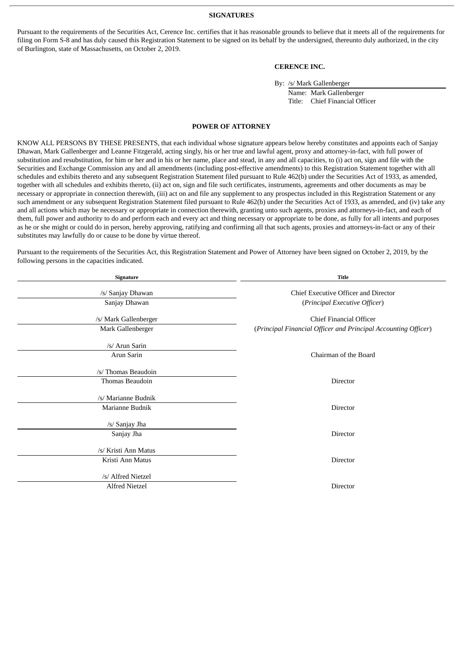**SIGNATURES**

Pursuant to the requirements of the Securities Act, Cerence Inc. certifies that it has reasonable grounds to believe that it meets all of the requirements for filing on Form S-8 and has duly caused this Registration Statement to be signed on its behalf by the undersigned, thereunto duly authorized, in the city of Burlington, state of Massachusetts, on October 2, 2019.

# **CERENCE INC.**

By: /s/ Mark Gallenberger

Name: Mark Gallenberger Title: Chief Financial Officer

#### **POWER OF ATTORNEY**

<span id="page-6-0"></span>KNOW ALL PERSONS BY THESE PRESENTS, that each individual whose signature appears below hereby constitutes and appoints each of Sanjay Dhawan, Mark Gallenberger and Leanne Fitzgerald, acting singly, his or her true and lawful agent, proxy and attorney-in-fact, with full power of substitution and resubstitution, for him or her and in his or her name, place and stead, in any and all capacities, to (i) act on, sign and file with the Securities and Exchange Commission any and all amendments (including post-effective amendments) to this Registration Statement together with all schedules and exhibits thereto and any subsequent Registration Statement filed pursuant to Rule 462(b) under the Securities Act of 1933, as amended, together with all schedules and exhibits thereto, (ii) act on, sign and file such certificates, instruments, agreements and other documents as may be necessary or appropriate in connection therewith, (iii) act on and file any supplement to any prospectus included in this Registration Statement or any such amendment or any subsequent Registration Statement filed pursuant to Rule 462(b) under the Securities Act of 1933, as amended, and (iv) take any and all actions which may be necessary or appropriate in connection therewith, granting unto such agents, proxies and attorneys-in-fact, and each of them, full power and authority to do and perform each and every act and thing necessary or appropriate to be done, as fully for all intents and purposes as he or she might or could do in person, hereby approving, ratifying and confirming all that such agents, proxies and attorneys-in-fact or any of their substitutes may lawfully do or cause to be done by virtue thereof.

Pursuant to the requirements of the Securities Act, this Registration Statement and Power of Attorney have been signed on October 2, 2019, by the following persons in the capacities indicated.

| Signature                                   | <b>Title</b>                                                                                     |  |  |
|---------------------------------------------|--------------------------------------------------------------------------------------------------|--|--|
| /s/ Sanjay Dhawan<br>Sanjay Dhawan          | Chief Executive Officer and Director<br>(Principal Executive Officer)                            |  |  |
| /s/ Mark Gallenberger<br>Mark Gallenberger  | <b>Chief Financial Officer</b><br>(Principal Financial Officer and Principal Accounting Officer) |  |  |
| /s/ Arun Sarin<br>Arun Sarin                | Chairman of the Board                                                                            |  |  |
| /s/ Thomas Beaudoin<br>Thomas Beaudoin      | Director                                                                                         |  |  |
| /s/ Marianne Budnik<br>Marianne Budnik      | Director                                                                                         |  |  |
| /s/ Sanjay Jha<br>Sanjay Jha                | Director                                                                                         |  |  |
| /s/ Kristi Ann Matus<br>Kristi Ann Matus    | Director                                                                                         |  |  |
| /s/ Alfred Nietzel<br><b>Alfred Nietzel</b> | <b>Director</b>                                                                                  |  |  |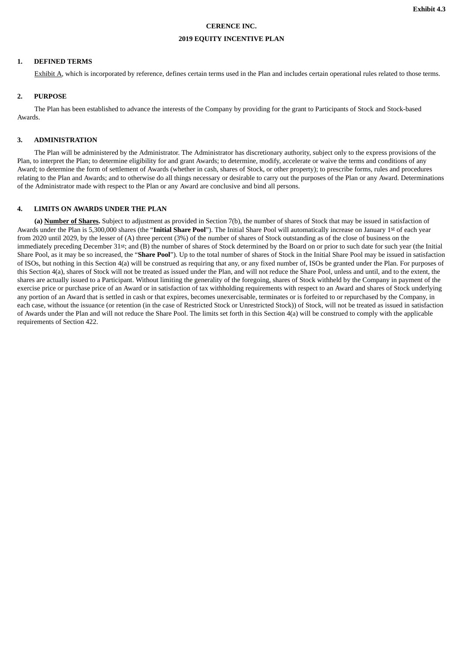# **CERENCE INC.**

# **2019 EQUITY INCENTIVE PLAN**

#### **1. DEFINED TERMS**

Exhibit A, which is incorporated by reference, defines certain terms used in the Plan and includes certain operational rules related to those terms.

# **2. PURPOSE**

The Plan has been established to advance the interests of the Company by providing for the grant to Participants of Stock and Stock-based Awards.

#### **3. ADMINISTRATION**

The Plan will be administered by the Administrator. The Administrator has discretionary authority, subject only to the express provisions of the Plan, to interpret the Plan; to determine eligibility for and grant Awards; to determine, modify, accelerate or waive the terms and conditions of any Award; to determine the form of settlement of Awards (whether in cash, shares of Stock, or other property); to prescribe forms, rules and procedures relating to the Plan and Awards; and to otherwise do all things necessary or desirable to carry out the purposes of the Plan or any Award. Determinations of the Administrator made with respect to the Plan or any Award are conclusive and bind all persons.

#### **4. LIMITS ON AWARDS UNDER THE PLAN**

**(a) Number of Shares.** Subject to adjustment as provided in Section 7(b), the number of shares of Stock that may be issued in satisfaction of Awards under the Plan is 5,300,000 shares (the "**Initial Share Pool**"). The Initial Share Pool will automatically increase on January 1st of each year from 2020 until 2029, by the lesser of (A) three percent (3%) of the number of shares of Stock outstanding as of the close of business on the immediately preceding December 31st; and (B) the number of shares of Stock determined by the Board on or prior to such date for such year (the Initial Share Pool, as it may be so increased, the "**Share Pool**"). Up to the total number of shares of Stock in the Initial Share Pool may be issued in satisfaction of ISOs, but nothing in this Section 4(a) will be construed as requiring that any, or any fixed number of, ISOs be granted under the Plan. For purposes of this Section 4(a), shares of Stock will not be treated as issued under the Plan, and will not reduce the Share Pool, unless and until, and to the extent, the shares are actually issued to a Participant. Without limiting the generality of the foregoing, shares of Stock withheld by the Company in payment of the exercise price or purchase price of an Award or in satisfaction of tax withholding requirements with respect to an Award and shares of Stock underlying any portion of an Award that is settled in cash or that expires, becomes unexercisable, terminates or is forfeited to or repurchased by the Company, in each case, without the issuance (or retention (in the case of Restricted Stock or Unrestricted Stock)) of Stock, will not be treated as issued in satisfaction of Awards under the Plan and will not reduce the Share Pool. The limits set forth in this Section 4(a) will be construed to comply with the applicable requirements of Section 422.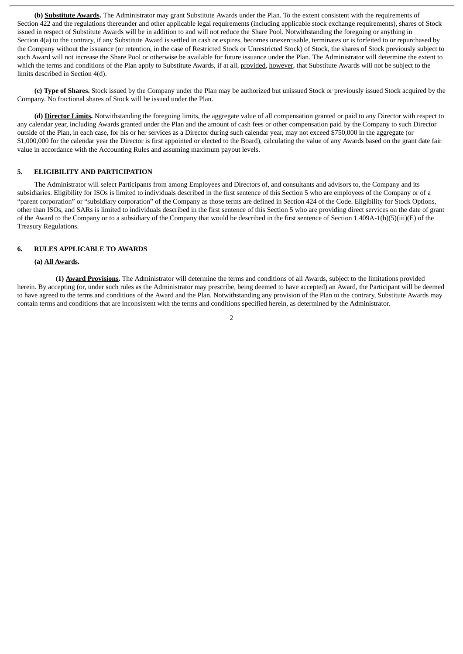**(b) Substitute Awards.** The Administrator may grant Substitute Awards under the Plan. To the extent consistent with the requirements of Section 422 and the regulations thereunder and other applicable legal requirements (including applicable stock exchange requirements), shares of Stock issued in respect of Substitute Awards will be in addition to and will not reduce the Share Pool. Notwithstanding the foregoing or anything in Section 4(a) to the contrary, if any Substitute Award is settled in cash or expires, becomes unexercisable, terminates or is forfeited to or repurchased by the Company without the issuance (or retention, in the case of Restricted Stock or Unrestricted Stock) of Stock, the shares of Stock previously subject to such Award will not increase the Share Pool or otherwise be available for future issuance under the Plan. The Administrator will determine the extent to which the terms and conditions of the Plan apply to Substitute Awards, if at all, provided, however, that Substitute Awards will not be subject to the limits described in Section 4(d).

**(c) Type of Shares.** Stock issued by the Company under the Plan may be authorized but unissued Stock or previously issued Stock acquired by the Company. No fractional shares of Stock will be issued under the Plan.

**(d) Director Limits.** Notwithstanding the foregoing limits, the aggregate value of all compensation granted or paid to any Director with respect to any calendar year, including Awards granted under the Plan and the amount of cash fees or other compensation paid by the Company to such Director outside of the Plan, in each case, for his or her services as a Director during such calendar year, may not exceed \$750,000 in the aggregate (or \$1,000,000 for the calendar year the Director is first appointed or elected to the Board), calculating the value of any Awards based on the grant date fair value in accordance with the Accounting Rules and assuming maximum payout levels.

#### **5. ELIGIBILITY AND PARTICIPATION**

The Administrator will select Participants from among Employees and Directors of, and consultants and advisors to, the Company and its subsidiaries. Eligibility for ISOs is limited to individuals described in the first sentence of this Section 5 who are employees of the Company or of a "parent corporation" or "subsidiary corporation" of the Company as those terms are defined in Section 424 of the Code. Eligibility for Stock Options, other than ISOs, and SARs is limited to individuals described in the first sentence of this Section 5 who are providing direct services on the date of grant of the Award to the Company or to a subsidiary of the Company that would be described in the first sentence of Section 1.409A-1(b)(5)(iii)(E) of the Treasury Regulations.

#### **6. RULES APPLICABLE TO AWARDS**

#### **(a) All Awards.**

**(1) Award Provisions.** The Administrator will determine the terms and conditions of all Awards, subject to the limitations provided herein. By accepting (or, under such rules as the Administrator may prescribe, being deemed to have accepted) an Award, the Participant will be deemed to have agreed to the terms and conditions of the Award and the Plan. Notwithstanding any provision of the Plan to the contrary, Substitute Awards may contain terms and conditions that are inconsistent with the terms and conditions specified herein, as determined by the Administrator.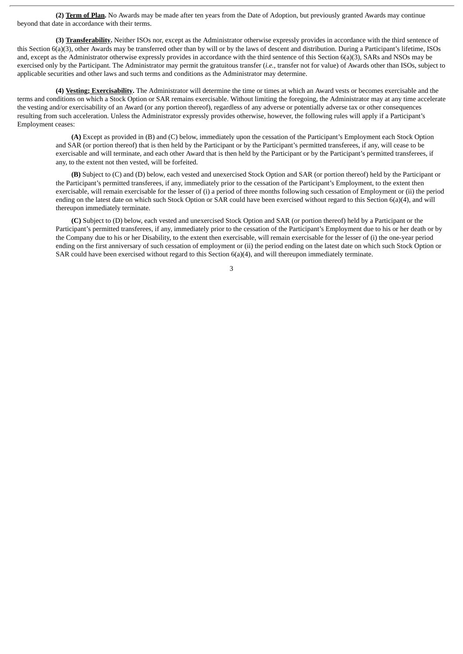**(2) Term of Plan.** No Awards may be made after ten years from the Date of Adoption, but previously granted Awards may continue beyond that date in accordance with their terms.

**(3) Transferability.** Neither ISOs nor, except as the Administrator otherwise expressly provides in accordance with the third sentence of this Section 6(a)(3), other Awards may be transferred other than by will or by the laws of descent and distribution. During a Participant's lifetime, ISOs and, except as the Administrator otherwise expressly provides in accordance with the third sentence of this Section 6(a)(3), SARs and NSOs may be exercised only by the Participant. The Administrator may permit the gratuitous transfer (*i.e.*, transfer not for value) of Awards other than ISOs, subject to applicable securities and other laws and such terms and conditions as the Administrator may determine.

**(4) Vesting; Exercisability.** The Administrator will determine the time or times at which an Award vests or becomes exercisable and the terms and conditions on which a Stock Option or SAR remains exercisable. Without limiting the foregoing, the Administrator may at any time accelerate the vesting and/or exercisability of an Award (or any portion thereof), regardless of any adverse or potentially adverse tax or other consequences resulting from such acceleration. Unless the Administrator expressly provides otherwise, however, the following rules will apply if a Participant's Employment ceases:

**(A)** Except as provided in (B) and (C) below, immediately upon the cessation of the Participant's Employment each Stock Option and SAR (or portion thereof) that is then held by the Participant or by the Participant's permitted transferees, if any, will cease to be exercisable and will terminate, and each other Award that is then held by the Participant or by the Participant's permitted transferees, if any, to the extent not then vested, will be forfeited.

**(B)** Subject to (C) and (D) below, each vested and unexercised Stock Option and SAR (or portion thereof) held by the Participant or the Participant's permitted transferees, if any, immediately prior to the cessation of the Participant's Employment, to the extent then exercisable, will remain exercisable for the lesser of (i) a period of three months following such cessation of Employment or (ii) the period ending on the latest date on which such Stock Option or SAR could have been exercised without regard to this Section 6(a)(4), and will thereupon immediately terminate.

**(C)** Subject to (D) below, each vested and unexercised Stock Option and SAR (or portion thereof) held by a Participant or the Participant's permitted transferees, if any, immediately prior to the cessation of the Participant's Employment due to his or her death or by the Company due to his or her Disability, to the extent then exercisable, will remain exercisable for the lesser of (i) the one-year period ending on the first anniversary of such cessation of employment or (ii) the period ending on the latest date on which such Stock Option or SAR could have been exercised without regard to this Section 6(a)(4), and will thereupon immediately terminate.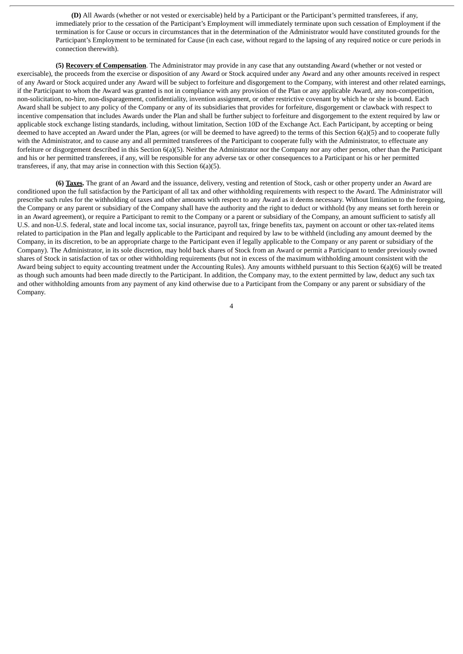**(D)** All Awards (whether or not vested or exercisable) held by a Participant or the Participant's permitted transferees, if any, immediately prior to the cessation of the Participant's Employment will immediately terminate upon such cessation of Employment if the termination is for Cause or occurs in circumstances that in the determination of the Administrator would have constituted grounds for the Participant's Employment to be terminated for Cause (in each case, without regard to the lapsing of any required notice or cure periods in connection therewith).

**(5) Recovery of Compensation**. The Administrator may provide in any case that any outstanding Award (whether or not vested or exercisable), the proceeds from the exercise or disposition of any Award or Stock acquired under any Award and any other amounts received in respect of any Award or Stock acquired under any Award will be subject to forfeiture and disgorgement to the Company, with interest and other related earnings, if the Participant to whom the Award was granted is not in compliance with any provision of the Plan or any applicable Award, any non-competition, non-solicitation, no-hire, non-disparagement, confidentiality, invention assignment, or other restrictive covenant by which he or she is bound. Each Award shall be subject to any policy of the Company or any of its subsidiaries that provides for forfeiture, disgorgement or clawback with respect to incentive compensation that includes Awards under the Plan and shall be further subject to forfeiture and disgorgement to the extent required by law or applicable stock exchange listing standards, including, without limitation, Section 10D of the Exchange Act. Each Participant, by accepting or being deemed to have accepted an Award under the Plan, agrees (or will be deemed to have agreed) to the terms of this Section 6(a)(5) and to cooperate fully with the Administrator, and to cause any and all permitted transferees of the Participant to cooperate fully with the Administrator, to effectuate any forfeiture or disgorgement described in this Section 6(a)(5). Neither the Administrator nor the Company nor any other person, other than the Participant and his or her permitted transferees, if any, will be responsible for any adverse tax or other consequences to a Participant or his or her permitted transferees, if any, that may arise in connection with this Section  $6(a)(5)$ .

**(6) Taxes.** The grant of an Award and the issuance, delivery, vesting and retention of Stock, cash or other property under an Award are conditioned upon the full satisfaction by the Participant of all tax and other withholding requirements with respect to the Award. The Administrator will prescribe such rules for the withholding of taxes and other amounts with respect to any Award as it deems necessary. Without limitation to the foregoing, the Company or any parent or subsidiary of the Company shall have the authority and the right to deduct or withhold (by any means set forth herein or in an Award agreement), or require a Participant to remit to the Company or a parent or subsidiary of the Company, an amount sufficient to satisfy all U.S. and non-U.S. federal, state and local income tax, social insurance, payroll tax, fringe benefits tax, payment on account or other tax-related items related to participation in the Plan and legally applicable to the Participant and required by law to be withheld (including any amount deemed by the Company, in its discretion, to be an appropriate charge to the Participant even if legally applicable to the Company or any parent or subsidiary of the Company). The Administrator, in its sole discretion, may hold back shares of Stock from an Award or permit a Participant to tender previously owned shares of Stock in satisfaction of tax or other withholding requirements (but not in excess of the maximum withholding amount consistent with the Award being subject to equity accounting treatment under the Accounting Rules). Any amounts withheld pursuant to this Section 6(a)(6) will be treated as though such amounts had been made directly to the Participant. In addition, the Company may, to the extent permitted by law, deduct any such tax and other withholding amounts from any payment of any kind otherwise due to a Participant from the Company or any parent or subsidiary of the Company.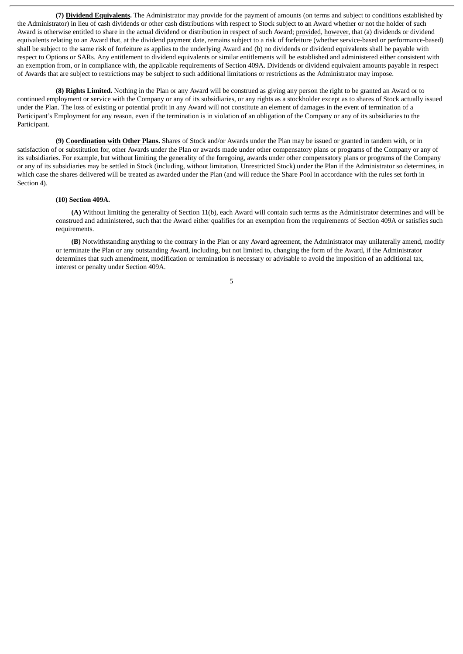**(7) Dividend Equivalents.** The Administrator may provide for the payment of amounts (on terms and subject to conditions established by the Administrator) in lieu of cash dividends or other cash distributions with respect to Stock subject to an Award whether or not the holder of such Award is otherwise entitled to share in the actual dividend or distribution in respect of such Award; provided, however, that (a) dividends or dividend equivalents relating to an Award that, at the dividend payment date, remains subject to a risk of forfeiture (whether service-based or performance-based) shall be subject to the same risk of forfeiture as applies to the underlying Award and (b) no dividends or dividend equivalents shall be payable with respect to Options or SARs. Any entitlement to dividend equivalents or similar entitlements will be established and administered either consistent with an exemption from, or in compliance with, the applicable requirements of Section 409A. Dividends or dividend equivalent amounts payable in respect of Awards that are subject to restrictions may be subject to such additional limitations or restrictions as the Administrator may impose.

**(8) Rights Limited.** Nothing in the Plan or any Award will be construed as giving any person the right to be granted an Award or to continued employment or service with the Company or any of its subsidiaries, or any rights as a stockholder except as to shares of Stock actually issued under the Plan. The loss of existing or potential profit in any Award will not constitute an element of damages in the event of termination of a Participant's Employment for any reason, even if the termination is in violation of an obligation of the Company or any of its subsidiaries to the Participant.

**(9) Coordination with Other Plans.** Shares of Stock and/or Awards under the Plan may be issued or granted in tandem with, or in satisfaction of or substitution for, other Awards under the Plan or awards made under other compensatory plans or programs of the Company or any of its subsidiaries. For example, but without limiting the generality of the foregoing, awards under other compensatory plans or programs of the Company or any of its subsidiaries may be settled in Stock (including, without limitation, Unrestricted Stock) under the Plan if the Administrator so determines, in which case the shares delivered will be treated as awarded under the Plan (and will reduce the Share Pool in accordance with the rules set forth in Section 4).

#### **(10) Section 409A.**

**(A)** Without limiting the generality of Section 11(b), each Award will contain such terms as the Administrator determines and will be construed and administered, such that the Award either qualifies for an exemption from the requirements of Section 409A or satisfies such requirements.

**(B)** Notwithstanding anything to the contrary in the Plan or any Award agreement, the Administrator may unilaterally amend, modify or terminate the Plan or any outstanding Award, including, but not limited to, changing the form of the Award, if the Administrator determines that such amendment, modification or termination is necessary or advisable to avoid the imposition of an additional tax, interest or penalty under Section 409A.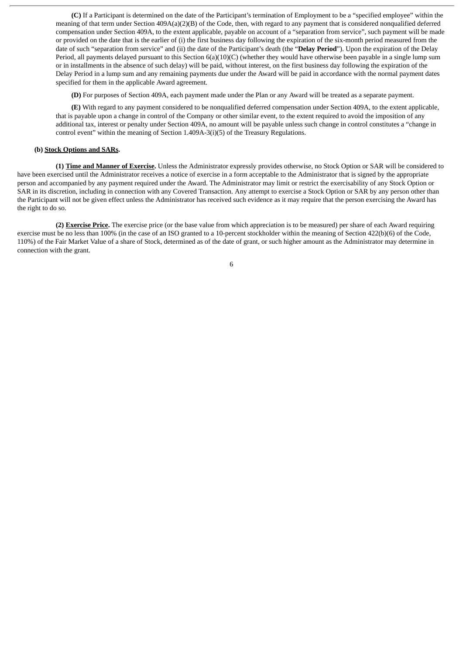**(C)** If a Participant is determined on the date of the Participant's termination of Employment to be a "specified employee" within the meaning of that term under Section 409A(a)(2)(B) of the Code, then, with regard to any payment that is considered nonqualified deferred compensation under Section 409A, to the extent applicable, payable on account of a "separation from service", such payment will be made or provided on the date that is the earlier of (i) the first business day following the expiration of the six-month period measured from the date of such "separation from service" and (ii) the date of the Participant's death (the "**Delay Period**"). Upon the expiration of the Delay Period, all payments delayed pursuant to this Section 6(a)(10)(C) (whether they would have otherwise been payable in a single lump sum or in installments in the absence of such delay) will be paid, without interest, on the first business day following the expiration of the Delay Period in a lump sum and any remaining payments due under the Award will be paid in accordance with the normal payment dates specified for them in the applicable Award agreement.

**(D)** For purposes of Section 409A, each payment made under the Plan or any Award will be treated as a separate payment.

**(E)** With regard to any payment considered to be nonqualified deferred compensation under Section 409A, to the extent applicable, that is payable upon a change in control of the Company or other similar event, to the extent required to avoid the imposition of any additional tax, interest or penalty under Section 409A, no amount will be payable unless such change in control constitutes a "change in control event" within the meaning of Section 1.409A-3(i)(5) of the Treasury Regulations.

#### **(b) Stock Options and SARs.**

**(1) Time and Manner of Exercise.** Unless the Administrator expressly provides otherwise, no Stock Option or SAR will be considered to have been exercised until the Administrator receives a notice of exercise in a form acceptable to the Administrator that is signed by the appropriate person and accompanied by any payment required under the Award. The Administrator may limit or restrict the exercisability of any Stock Option or SAR in its discretion, including in connection with any Covered Transaction. Any attempt to exercise a Stock Option or SAR by any person other than the Participant will not be given effect unless the Administrator has received such evidence as it may require that the person exercising the Award has the right to do so.

**(2) Exercise Price.** The exercise price (or the base value from which appreciation is to be measured) per share of each Award requiring exercise must be no less than 100% (in the case of an ISO granted to a 10-percent stockholder within the meaning of Section 422(b)(6) of the Code, 110%) of the Fair Market Value of a share of Stock, determined as of the date of grant, or such higher amount as the Administrator may determine in connection with the grant.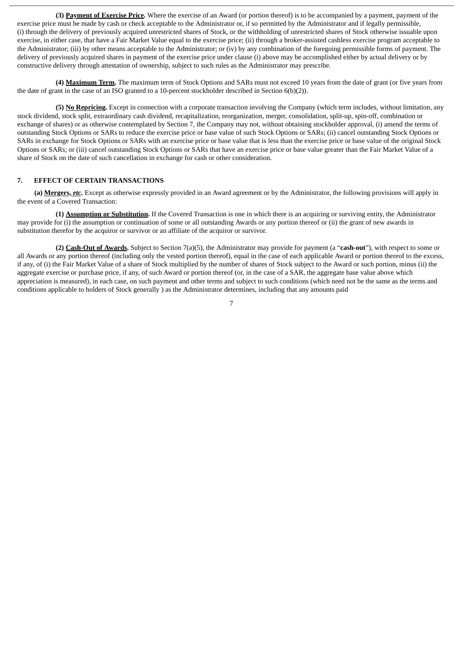**(3) Payment of Exercise Price.** Where the exercise of an Award (or portion thereof) is to be accompanied by a payment, payment of the exercise price must be made by cash or check acceptable to the Administrator or, if so permitted by the Administrator and if legally permissible, (i) through the delivery of previously acquired unrestricted shares of Stock, or the withholding of unrestricted shares of Stock otherwise issuable upon exercise, in either case, that have a Fair Market Value equal to the exercise price; (ii) through a broker-assisted cashless exercise program acceptable to the Administrator; (iii) by other means acceptable to the Administrator; or (iv) by any combination of the foregoing permissible forms of payment. The delivery of previously acquired shares in payment of the exercise price under clause (i) above may be accomplished either by actual delivery or by constructive delivery through attestation of ownership, subject to such rules as the Administrator may prescribe.

**(4) Maximum Term.** The maximum term of Stock Options and SARs must not exceed 10 years from the date of grant (or five years from the date of grant in the case of an ISO granted to a 10-percent stockholder described in Section 6(b)(2)).

**(5) No Repricing.** Except in connection with a corporate transaction involving the Company (which term includes, without limitation, any stock dividend, stock split, extraordinary cash dividend, recapitalization, reorganization, merger, consolidation, split-up, spin-off, combination or exchange of shares) or as otherwise contemplated by Section 7, the Company may not, without obtaining stockholder approval, (i) amend the terms of outstanding Stock Options or SARs to reduce the exercise price or base value of such Stock Options or SARs; (ii) cancel outstanding Stock Options or SARs in exchange for Stock Options or SARs with an exercise price or base value that is less than the exercise price or base value of the original Stock Options or SARs; or (iii) cancel outstanding Stock Options or SARs that have an exercise price or base value greater than the Fair Market Value of a share of Stock on the date of such cancellation in exchange for cash or other consideration.

#### **7. EFFECT OF CERTAIN TRANSACTIONS**

**(a) Mergers,** *etc.* Except as otherwise expressly provided in an Award agreement or by the Administrator, the following provisions will apply in the event of a Covered Transaction:

**(1) Assumption or Substitution.** If the Covered Transaction is one in which there is an acquiring or surviving entity, the Administrator may provide for (i) the assumption or continuation of some or all outstanding Awards or any portion thereof or (ii) the grant of new awards in substitution therefor by the acquiror or survivor or an affiliate of the acquiror or survivor.

**(2) Cash-Out of Awards.** Subject to Section 7(a)(5), the Administrator may provide for payment (a "**cash-out**"), with respect to some or all Awards or any portion thereof (including only the vested portion thereof), equal in the case of each applicable Award or portion thereof to the excess, if any, of (i) the Fair Market Value of a share of Stock multiplied by the number of shares of Stock subject to the Award or such portion, minus (ii) the aggregate exercise or purchase price, if any, of such Award or portion thereof (or, in the case of a SAR, the aggregate base value above which appreciation is measured), in each case, on such payment and other terms and subject to such conditions (which need not be the same as the terms and conditions applicable to holders of Stock generally ) as the Administrator determines, including that any amounts paid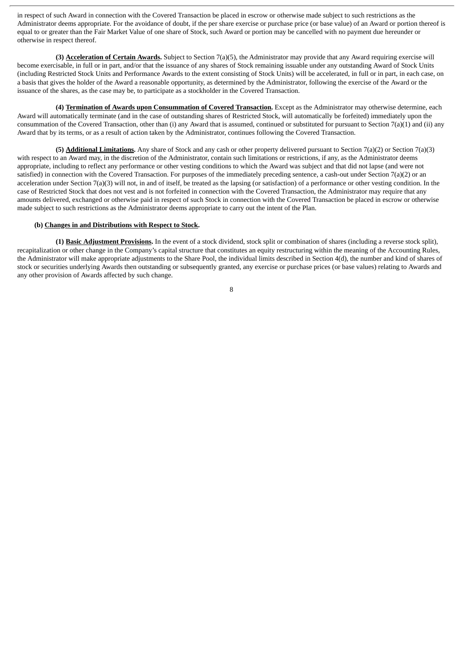in respect of such Award in connection with the Covered Transaction be placed in escrow or otherwise made subject to such restrictions as the Administrator deems appropriate. For the avoidance of doubt, if the per share exercise or purchase price (or base value) of an Award or portion thereof is equal to or greater than the Fair Market Value of one share of Stock, such Award or portion may be cancelled with no payment due hereunder or otherwise in respect thereof.

**(3) Acceleration of Certain Awards.** Subject to Section 7(a)(5), the Administrator may provide that any Award requiring exercise will become exercisable, in full or in part, and/or that the issuance of any shares of Stock remaining issuable under any outstanding Award of Stock Units (including Restricted Stock Units and Performance Awards to the extent consisting of Stock Units) will be accelerated, in full or in part, in each case, on a basis that gives the holder of the Award a reasonable opportunity, as determined by the Administrator, following the exercise of the Award or the issuance of the shares, as the case may be, to participate as a stockholder in the Covered Transaction.

**(4) Termination of Awards upon Consummation of Covered Transaction.** Except as the Administrator may otherwise determine, each Award will automatically terminate (and in the case of outstanding shares of Restricted Stock, will automatically be forfeited) immediately upon the consummation of the Covered Transaction, other than (i) any Award that is assumed, continued or substituted for pursuant to Section 7(a)(1) and (ii) any Award that by its terms, or as a result of action taken by the Administrator, continues following the Covered Transaction.

**(5) Additional Limitations.** Any share of Stock and any cash or other property delivered pursuant to Section 7(a)(2) or Section 7(a)(3) with respect to an Award may, in the discretion of the Administrator, contain such limitations or restrictions, if any, as the Administrator deems appropriate, including to reflect any performance or other vesting conditions to which the Award was subject and that did not lapse (and were not satisfied) in connection with the Covered Transaction. For purposes of the immediately preceding sentence, a cash-out under Section 7(a)(2) or an acceleration under Section  $7(a)(3)$  will not, in and of itself, be treated as the lapsing (or satisfaction) of a performance or other vesting condition. In the case of Restricted Stock that does not vest and is not forfeited in connection with the Covered Transaction, the Administrator may require that any amounts delivered, exchanged or otherwise paid in respect of such Stock in connection with the Covered Transaction be placed in escrow or otherwise made subject to such restrictions as the Administrator deems appropriate to carry out the intent of the Plan.

# **(b) Changes in and Distributions with Respect to Stock.**

**(1) Basic Adjustment Provisions.** In the event of a stock dividend, stock split or combination of shares (including a reverse stock split), recapitalization or other change in the Company's capital structure that constitutes an equity restructuring within the meaning of the Accounting Rules, the Administrator will make appropriate adjustments to the Share Pool, the individual limits described in Section 4(d), the number and kind of shares of stock or securities underlying Awards then outstanding or subsequently granted, any exercise or purchase prices (or base values) relating to Awards and any other provision of Awards affected by such change.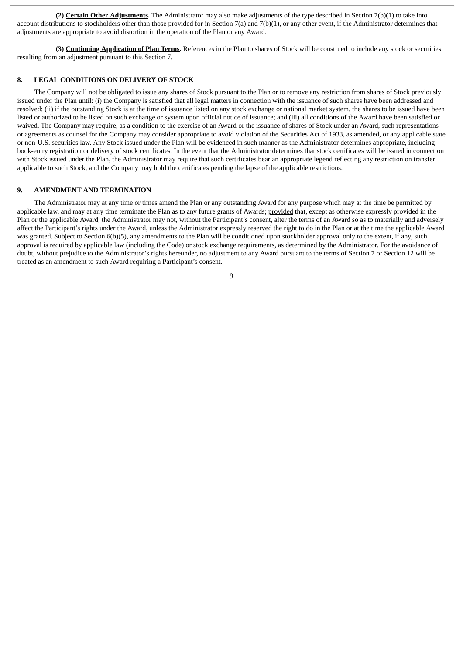**(2) Certain Other Adjustments.** The Administrator may also make adjustments of the type described in Section 7(b)(1) to take into account distributions to stockholders other than those provided for in Section 7(a) and 7(b)(1), or any other event, if the Administrator determines that adjustments are appropriate to avoid distortion in the operation of the Plan or any Award.

**(3) Continuing Application of Plan Terms.** References in the Plan to shares of Stock will be construed to include any stock or securities resulting from an adjustment pursuant to this Section 7.

#### **8. LEGAL CONDITIONS ON DELIVERY OF STOCK**

The Company will not be obligated to issue any shares of Stock pursuant to the Plan or to remove any restriction from shares of Stock previously issued under the Plan until: (i) the Company is satisfied that all legal matters in connection with the issuance of such shares have been addressed and resolved; (ii) if the outstanding Stock is at the time of issuance listed on any stock exchange or national market system, the shares to be issued have been listed or authorized to be listed on such exchange or system upon official notice of issuance; and (iii) all conditions of the Award have been satisfied or waived. The Company may require, as a condition to the exercise of an Award or the issuance of shares of Stock under an Award, such representations or agreements as counsel for the Company may consider appropriate to avoid violation of the Securities Act of 1933, as amended, or any applicable state or non-U.S. securities law. Any Stock issued under the Plan will be evidenced in such manner as the Administrator determines appropriate, including book-entry registration or delivery of stock certificates. In the event that the Administrator determines that stock certificates will be issued in connection with Stock issued under the Plan, the Administrator may require that such certificates bear an appropriate legend reflecting any restriction on transfer applicable to such Stock, and the Company may hold the certificates pending the lapse of the applicable restrictions.

## **9. AMENDMENT AND TERMINATION**

The Administrator may at any time or times amend the Plan or any outstanding Award for any purpose which may at the time be permitted by applicable law, and may at any time terminate the Plan as to any future grants of Awards; provided that, except as otherwise expressly provided in the Plan or the applicable Award, the Administrator may not, without the Participant's consent, alter the terms of an Award so as to materially and adversely affect the Participant's rights under the Award, unless the Administrator expressly reserved the right to do in the Plan or at the time the applicable Award was granted. Subject to Section 6(b)(5), any amendments to the Plan will be conditioned upon stockholder approval only to the extent, if any, such approval is required by applicable law (including the Code) or stock exchange requirements, as determined by the Administrator. For the avoidance of doubt, without prejudice to the Administrator's rights hereunder, no adjustment to any Award pursuant to the terms of Section 7 or Section 12 will be treated as an amendment to such Award requiring a Participant's consent.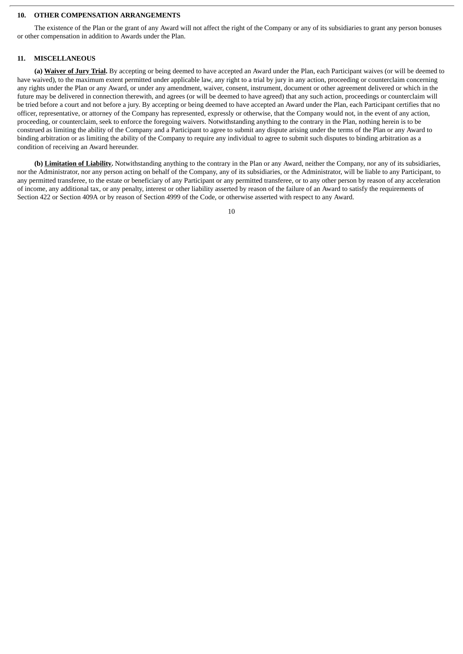#### **10. OTHER COMPENSATION ARRANGEMENTS**

The existence of the Plan or the grant of any Award will not affect the right of the Company or any of its subsidiaries to grant any person bonuses or other compensation in addition to Awards under the Plan.

#### **11. MISCELLANEOUS**

**(a) Waiver of Jury Trial.** By accepting or being deemed to have accepted an Award under the Plan, each Participant waives (or will be deemed to have waived), to the maximum extent permitted under applicable law, any right to a trial by jury in any action, proceeding or counterclaim concerning any rights under the Plan or any Award, or under any amendment, waiver, consent, instrument, document or other agreement delivered or which in the future may be delivered in connection therewith, and agrees (or will be deemed to have agreed) that any such action, proceedings or counterclaim will be tried before a court and not before a jury. By accepting or being deemed to have accepted an Award under the Plan, each Participant certifies that no officer, representative, or attorney of the Company has represented, expressly or otherwise, that the Company would not, in the event of any action, proceeding, or counterclaim, seek to enforce the foregoing waivers. Notwithstanding anything to the contrary in the Plan, nothing herein is to be construed as limiting the ability of the Company and a Participant to agree to submit any dispute arising under the terms of the Plan or any Award to binding arbitration or as limiting the ability of the Company to require any individual to agree to submit such disputes to binding arbitration as a condition of receiving an Award hereunder.

**(b) Limitation of Liability.** Notwithstanding anything to the contrary in the Plan or any Award, neither the Company, nor any of its subsidiaries, nor the Administrator, nor any person acting on behalf of the Company, any of its subsidiaries, or the Administrator, will be liable to any Participant, to any permitted transferee, to the estate or beneficiary of any Participant or any permitted transferee, or to any other person by reason of any acceleration of income, any additional tax, or any penalty, interest or other liability asserted by reason of the failure of an Award to satisfy the requirements of Section 422 or Section 409A or by reason of Section 4999 of the Code, or otherwise asserted with respect to any Award.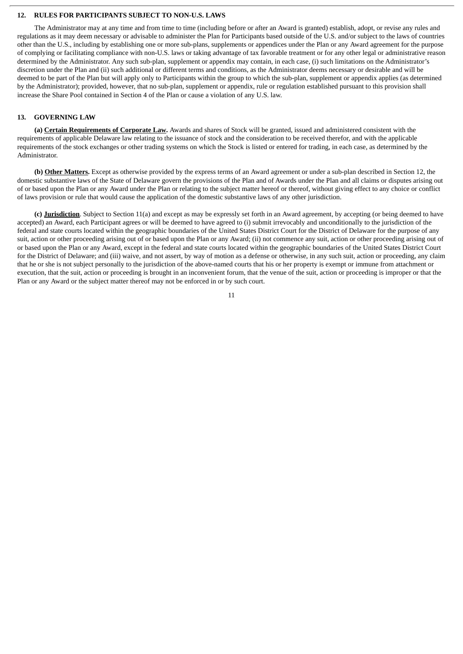#### **12. RULES FOR PARTICIPANTS SUBJECT TO NON-U.S. LAWS**

The Administrator may at any time and from time to time (including before or after an Award is granted) establish, adopt, or revise any rules and regulations as it may deem necessary or advisable to administer the Plan for Participants based outside of the U.S. and/or subject to the laws of countries other than the U.S., including by establishing one or more sub-plans, supplements or appendices under the Plan or any Award agreement for the purpose of complying or facilitating compliance with non-U.S. laws or taking advantage of tax favorable treatment or for any other legal or administrative reason determined by the Administrator. Any such sub-plan, supplement or appendix may contain, in each case, (i) such limitations on the Administrator's discretion under the Plan and (ii) such additional or different terms and conditions, as the Administrator deems necessary or desirable and will be deemed to be part of the Plan but will apply only to Participants within the group to which the sub-plan, supplement or appendix applies (as determined by the Administrator); provided, however, that no sub-plan, supplement or appendix, rule or regulation established pursuant to this provision shall increase the Share Pool contained in Section 4 of the Plan or cause a violation of any U.S. law.

#### **13. GOVERNING LAW**

**(a) Certain Requirements of Corporate Law.** Awards and shares of Stock will be granted, issued and administered consistent with the requirements of applicable Delaware law relating to the issuance of stock and the consideration to be received therefor, and with the applicable requirements of the stock exchanges or other trading systems on which the Stock is listed or entered for trading, in each case, as determined by the Administrator.

**(b) Other Matters.** Except as otherwise provided by the express terms of an Award agreement or under a sub-plan described in Section 12, the domestic substantive laws of the State of Delaware govern the provisions of the Plan and of Awards under the Plan and all claims or disputes arising out of or based upon the Plan or any Award under the Plan or relating to the subject matter hereof or thereof, without giving effect to any choice or conflict of laws provision or rule that would cause the application of the domestic substantive laws of any other jurisdiction.

**(c) Jurisdiction**. Subject to Section 11(a) and except as may be expressly set forth in an Award agreement, by accepting (or being deemed to have accepted) an Award, each Participant agrees or will be deemed to have agreed to (i) submit irrevocably and unconditionally to the jurisdiction of the federal and state courts located within the geographic boundaries of the United States District Court for the District of Delaware for the purpose of any suit, action or other proceeding arising out of or based upon the Plan or any Award; (ii) not commence any suit, action or other proceeding arising out of or based upon the Plan or any Award, except in the federal and state courts located within the geographic boundaries of the United States District Court for the District of Delaware; and (iii) waive, and not assert, by way of motion as a defense or otherwise, in any such suit, action or proceeding, any claim that he or she is not subject personally to the jurisdiction of the above-named courts that his or her property is exempt or immune from attachment or execution, that the suit, action or proceeding is brought in an inconvenient forum, that the venue of the suit, action or proceeding is improper or that the Plan or any Award or the subject matter thereof may not be enforced in or by such court.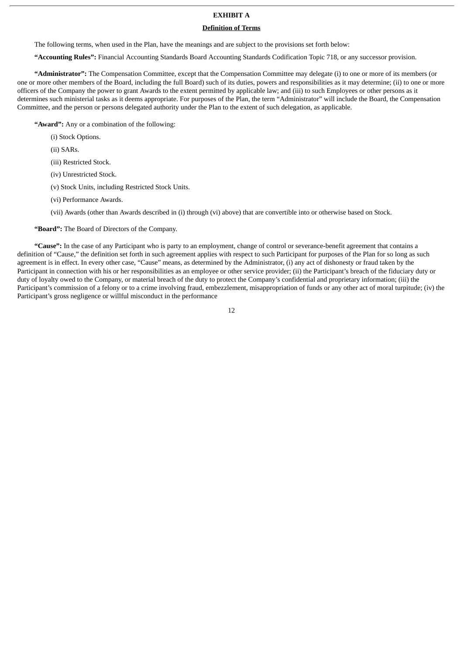# **EXHIBIT A**

# **Definition of Terms**

The following terms, when used in the Plan, have the meanings and are subject to the provisions set forth below:

**"Accounting Rules":** Financial Accounting Standards Board Accounting Standards Codification Topic 718, or any successor provision.

**"Administrator":** The Compensation Committee, except that the Compensation Committee may delegate (i) to one or more of its members (or one or more other members of the Board, including the full Board) such of its duties, powers and responsibilities as it may determine; (ii) to one or more officers of the Company the power to grant Awards to the extent permitted by applicable law; and (iii) to such Employees or other persons as it determines such ministerial tasks as it deems appropriate. For purposes of the Plan, the term "Administrator" will include the Board, the Compensation Committee, and the person or persons delegated authority under the Plan to the extent of such delegation, as applicable.

**"Award":** Any or a combination of the following:

- (i) Stock Options.
- (ii) SARs.
- (iii) Restricted Stock.
- (iv) Unrestricted Stock.
- (v) Stock Units, including Restricted Stock Units.
- (vi) Performance Awards.
- (vii) Awards (other than Awards described in (i) through (vi) above) that are convertible into or otherwise based on Stock.

**"Board":** The Board of Directors of the Company.

**"Cause":** In the case of any Participant who is party to an employment, change of control or severance-benefit agreement that contains a definition of "Cause," the definition set forth in such agreement applies with respect to such Participant for purposes of the Plan for so long as such agreement is in effect. In every other case, "Cause" means, as determined by the Administrator, (i) any act of dishonesty or fraud taken by the Participant in connection with his or her responsibilities as an employee or other service provider; (ii) the Participant's breach of the fiduciary duty or duty of loyalty owed to the Company, or material breach of the duty to protect the Company's confidential and proprietary information; (iii) the Participant's commission of a felony or to a crime involving fraud, embezzlement, misappropriation of funds or any other act of moral turpitude; (iv) the Participant's gross negligence or willful misconduct in the performance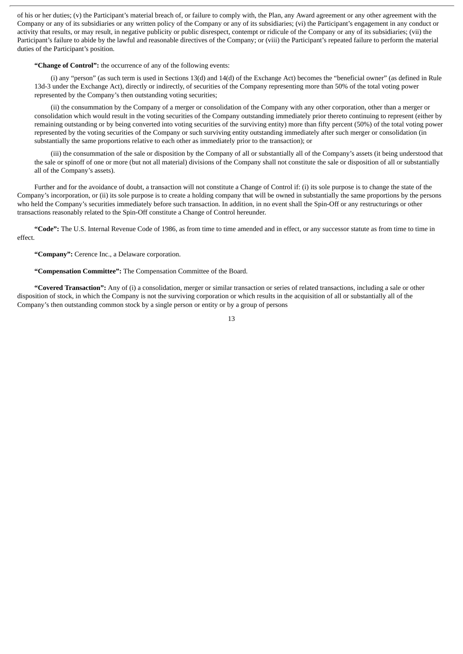of his or her duties; (v) the Participant's material breach of, or failure to comply with, the Plan, any Award agreement or any other agreement with the Company or any of its subsidiaries or any written policy of the Company or any of its subsidiaries; (vi) the Participant's engagement in any conduct or activity that results, or may result, in negative publicity or public disrespect, contempt or ridicule of the Company or any of its subsidiaries; (vii) the Participant's failure to abide by the lawful and reasonable directives of the Company; or (viii) the Participant's repeated failure to perform the material duties of the Participant's position.

**"Change of Control":** the occurrence of any of the following events:

(i) any "person" (as such term is used in Sections 13(d) and 14(d) of the Exchange Act) becomes the "beneficial owner" (as defined in Rule 13d-3 under the Exchange Act), directly or indirectly, of securities of the Company representing more than 50% of the total voting power represented by the Company's then outstanding voting securities;

(ii) the consummation by the Company of a merger or consolidation of the Company with any other corporation, other than a merger or consolidation which would result in the voting securities of the Company outstanding immediately prior thereto continuing to represent (either by remaining outstanding or by being converted into voting securities of the surviving entity) more than fifty percent (50%) of the total voting power represented by the voting securities of the Company or such surviving entity outstanding immediately after such merger or consolidation (in substantially the same proportions relative to each other as immediately prior to the transaction); or

(iii) the consummation of the sale or disposition by the Company of all or substantially all of the Company's assets (it being understood that the sale or spinoff of one or more (but not all material) divisions of the Company shall not constitute the sale or disposition of all or substantially all of the Company's assets).

Further and for the avoidance of doubt, a transaction will not constitute a Change of Control if: (i) its sole purpose is to change the state of the Company's incorporation, or (ii) its sole purpose is to create a holding company that will be owned in substantially the same proportions by the persons who held the Company's securities immediately before such transaction. In addition, in no event shall the Spin-Off or any restructurings or other transactions reasonably related to the Spin-Off constitute a Change of Control hereunder.

**"Code":** The U.S. Internal Revenue Code of 1986, as from time to time amended and in effect, or any successor statute as from time to time in effect.

**"Company":** Cerence Inc., a Delaware corporation.

**"Compensation Committee":** The Compensation Committee of the Board.

**"Covered Transaction":** Any of (i) a consolidation, merger or similar transaction or series of related transactions, including a sale or other disposition of stock, in which the Company is not the surviving corporation or which results in the acquisition of all or substantially all of the Company's then outstanding common stock by a single person or entity or by a group of persons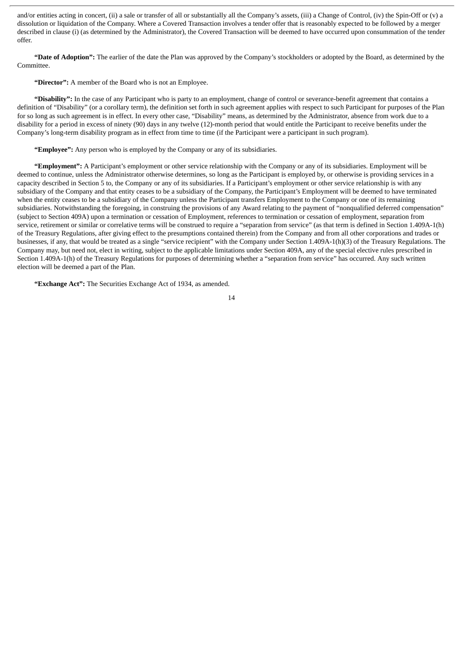and/or entities acting in concert, (ii) a sale or transfer of all or substantially all the Company's assets, (iii) a Change of Control, (iv) the Spin-Off or (v) a dissolution or liquidation of the Company. Where a Covered Transaction involves a tender offer that is reasonably expected to be followed by a merger described in clause (i) (as determined by the Administrator), the Covered Transaction will be deemed to have occurred upon consummation of the tender offer.

**"Date of Adoption":** The earlier of the date the Plan was approved by the Company's stockholders or adopted by the Board, as determined by the Committee.

**"Director":** A member of the Board who is not an Employee.

**"Disability":** In the case of any Participant who is party to an employment, change of control or severance-benefit agreement that contains a definition of "Disability" (or a corollary term), the definition set forth in such agreement applies with respect to such Participant for purposes of the Plan for so long as such agreement is in effect. In every other case, "Disability" means, as determined by the Administrator, absence from work due to a disability for a period in excess of ninety (90) days in any twelve (12)-month period that would entitle the Participant to receive benefits under the Company's long-term disability program as in effect from time to time (if the Participant were a participant in such program).

**"Employee":** Any person who is employed by the Company or any of its subsidiaries.

**"Employment":** A Participant's employment or other service relationship with the Company or any of its subsidiaries. Employment will be deemed to continue, unless the Administrator otherwise determines, so long as the Participant is employed by, or otherwise is providing services in a capacity described in Section 5 to, the Company or any of its subsidiaries. If a Participant's employment or other service relationship is with any subsidiary of the Company and that entity ceases to be a subsidiary of the Company, the Participant's Employment will be deemed to have terminated when the entity ceases to be a subsidiary of the Company unless the Participant transfers Employment to the Company or one of its remaining subsidiaries. Notwithstanding the foregoing, in construing the provisions of any Award relating to the payment of "nonqualified deferred compensation" (subject to Section 409A) upon a termination or cessation of Employment, references to termination or cessation of employment, separation from service, retirement or similar or correlative terms will be construed to require a "separation from service" (as that term is defined in Section 1.409A-1(h) of the Treasury Regulations, after giving effect to the presumptions contained therein) from the Company and from all other corporations and trades or businesses, if any, that would be treated as a single "service recipient" with the Company under Section 1.409A-1(h)(3) of the Treasury Regulations. The Company may, but need not, elect in writing, subject to the applicable limitations under Section 409A, any of the special elective rules prescribed in Section 1.409A-1(h) of the Treasury Regulations for purposes of determining whether a "separation from service" has occurred. Any such written election will be deemed a part of the Plan.

**"Exchange Act":** The Securities Exchange Act of 1934, as amended.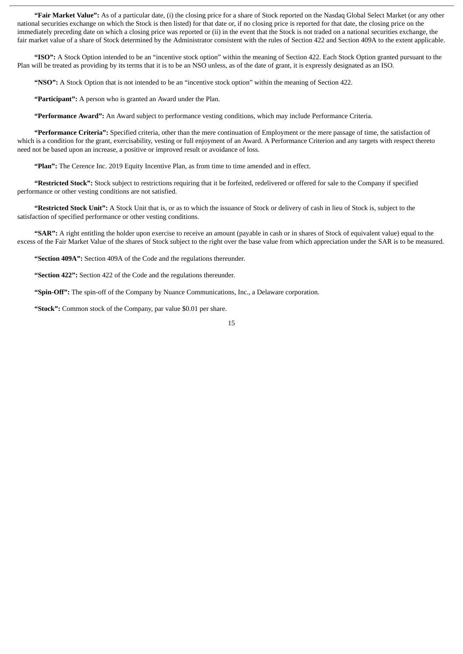**"Fair Market Value":** As of a particular date, (i) the closing price for a share of Stock reported on the Nasdaq Global Select Market (or any other national securities exchange on which the Stock is then listed) for that date or, if no closing price is reported for that date, the closing price on the immediately preceding date on which a closing price was reported or (ii) in the event that the Stock is not traded on a national securities exchange, the fair market value of a share of Stock determined by the Administrator consistent with the rules of Section 422 and Section 409A to the extent applicable.

**"ISO":** A Stock Option intended to be an "incentive stock option" within the meaning of Section 422. Each Stock Option granted pursuant to the Plan will be treated as providing by its terms that it is to be an NSO unless, as of the date of grant, it is expressly designated as an ISO.

**"NSO":** A Stock Option that is not intended to be an "incentive stock option" within the meaning of Section 422.

**"Participant":** A person who is granted an Award under the Plan.

**"Performance Award":** An Award subject to performance vesting conditions, which may include Performance Criteria.

**"Performance Criteria":** Specified criteria, other than the mere continuation of Employment or the mere passage of time, the satisfaction of which is a condition for the grant, exercisability, vesting or full enjoyment of an Award. A Performance Criterion and any targets with respect thereto need not be based upon an increase, a positive or improved result or avoidance of loss.

**"Plan":** The Cerence Inc. 2019 Equity Incentive Plan, as from time to time amended and in effect.

**"Restricted Stock":** Stock subject to restrictions requiring that it be forfeited, redelivered or offered for sale to the Company if specified performance or other vesting conditions are not satisfied.

**"Restricted Stock Unit":** A Stock Unit that is, or as to which the issuance of Stock or delivery of cash in lieu of Stock is, subject to the satisfaction of specified performance or other vesting conditions.

**"SAR":** A right entitling the holder upon exercise to receive an amount (payable in cash or in shares of Stock of equivalent value) equal to the excess of the Fair Market Value of the shares of Stock subject to the right over the base value from which appreciation under the SAR is to be measured.

**"Section 409A":** Section 409A of the Code and the regulations thereunder.

**"Section 422":** Section 422 of the Code and the regulations thereunder.

**"Spin-Off":** The spin-off of the Company by Nuance Communications, Inc., a Delaware corporation.

**"Stock":** Common stock of the Company, par value \$0.01 per share.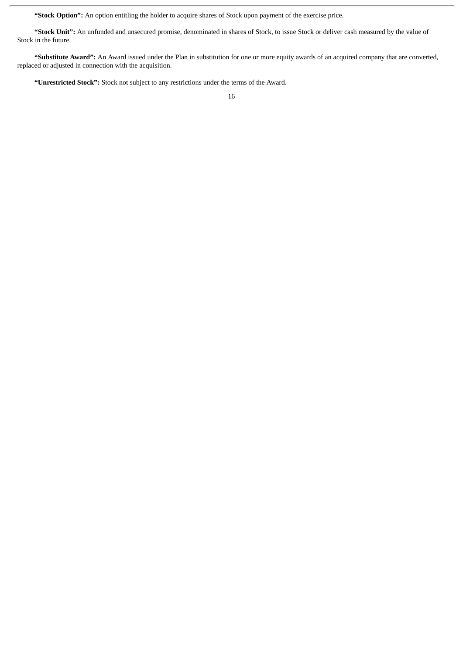**"Stock Option":** An option entitling the holder to acquire shares of Stock upon payment of the exercise price.

**"Stock Unit":** An unfunded and unsecured promise, denominated in shares of Stock, to issue Stock or deliver cash measured by the value of Stock in the future.

**"Substitute Award":** An Award issued under the Plan in substitution for one or more equity awards of an acquired company that are converted, replaced or adjusted in connection with the acquisition.

**"Unrestricted Stock":** Stock not subject to any restrictions under the terms of the Award.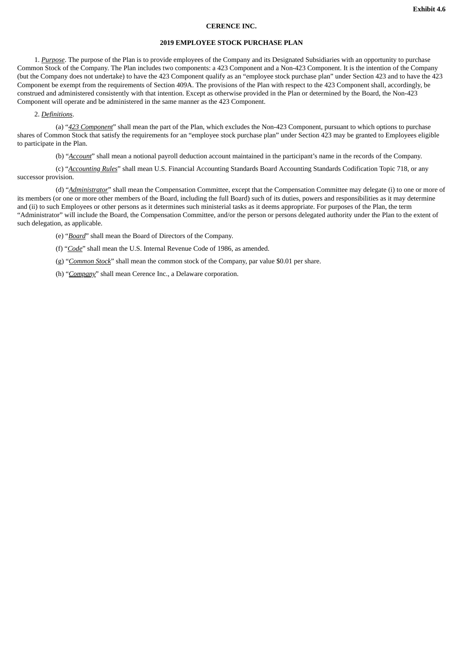#### **CERENCE INC.**

#### **2019 EMPLOYEE STOCK PURCHASE PLAN**

1. *Purpose*. The purpose of the Plan is to provide employees of the Company and its Designated Subsidiaries with an opportunity to purchase Common Stock of the Company. The Plan includes two components: a 423 Component and a Non-423 Component. It is the intention of the Company (but the Company does not undertake) to have the 423 Component qualify as an "employee stock purchase plan" under Section 423 and to have the 423 Component be exempt from the requirements of Section 409A. The provisions of the Plan with respect to the 423 Component shall, accordingly, be construed and administered consistently with that intention. Except as otherwise provided in the Plan or determined by the Board, the Non-423 Component will operate and be administered in the same manner as the 423 Component.

2. *Definitions*.

(a) "*423 Component*" shall mean the part of the Plan, which excludes the Non-423 Component, pursuant to which options to purchase shares of Common Stock that satisfy the requirements for an "employee stock purchase plan" under Section 423 may be granted to Employees eligible to participate in the Plan.

(b) "*Account*" shall mean a notional payroll deduction account maintained in the participant's name in the records of the Company.

(c) "*Accounting Rules*" shall mean U.S. Financial Accounting Standards Board Accounting Standards Codification Topic 718, or any successor provision.

(d) "*Administrator*" shall mean the Compensation Committee, except that the Compensation Committee may delegate (i) to one or more of its members (or one or more other members of the Board, including the full Board) such of its duties, powers and responsibilities as it may determine and (ii) to such Employees or other persons as it determines such ministerial tasks as it deems appropriate. For purposes of the Plan, the term "Administrator" will include the Board, the Compensation Committee, and/or the person or persons delegated authority under the Plan to the extent of such delegation, as applicable.

(e) "*Board*" shall mean the Board of Directors of the Company.

(f) "*Code*" shall mean the U.S. Internal Revenue Code of 1986, as amended.

(g) "*Common Stock*" shall mean the common stock of the Company, par value \$0.01 per share.

(h) "*Company*" shall mean Cerence Inc., a Delaware corporation.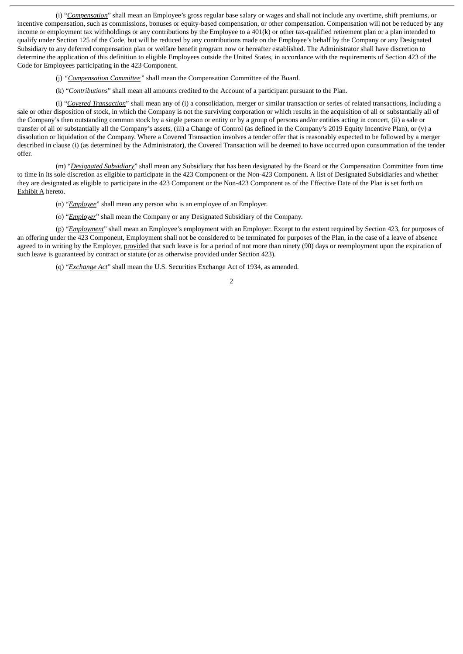(i) "*Compensation*" shall mean an Employee's gross regular base salary or wages and shall not include any overtime, shift premiums, or incentive compensation, such as commissions, bonuses or equity-based compensation, or other compensation. Compensation will not be reduced by any income or employment tax withholdings or any contributions by the Employee to a 401(k) or other tax-qualified retirement plan or a plan intended to qualify under Section 125 of the Code, but will be reduced by any contributions made on the Employee's behalf by the Company or any Designated Subsidiary to any deferred compensation plan or welfare benefit program now or hereafter established. The Administrator shall have discretion to determine the application of this definition to eligible Employees outside the United States, in accordance with the requirements of Section 423 of the Code for Employees participating in the 423 Component.

(j) *"Compensation Committee"* shall mean the Compensation Committee of the Board.

(k) "*Contributions*" shall mean all amounts credited to the Account of a participant pursuant to the Plan.

(l) "*Covered Transaction*" shall mean any of (i) a consolidation, merger or similar transaction or series of related transactions, including a sale or other disposition of stock, in which the Company is not the surviving corporation or which results in the acquisition of all or substantially all of the Company's then outstanding common stock by a single person or entity or by a group of persons and/or entities acting in concert, (ii) a sale or transfer of all or substantially all the Company's assets, (iii) a Change of Control (as defined in the Company's 2019 Equity Incentive Plan), or (v) a dissolution or liquidation of the Company. Where a Covered Transaction involves a tender offer that is reasonably expected to be followed by a merger described in clause (i) (as determined by the Administrator), the Covered Transaction will be deemed to have occurred upon consummation of the tender offer.

(m) "*Designated Subsidiary*" shall mean any Subsidiary that has been designated by the Board or the Compensation Committee from time to time in its sole discretion as eligible to participate in the 423 Component or the Non-423 Component. A list of Designated Subsidiaries and whether they are designated as eligible to participate in the 423 Component or the Non-423 Component as of the Effective Date of the Plan is set forth on Exhibit A hereto.

(n) "*Employee*" shall mean any person who is an employee of an Employer.

(o) "*Employer*" shall mean the Company or any Designated Subsidiary of the Company.

(p) "*Employment*" shall mean an Employee's employment with an Employer. Except to the extent required by Section 423, for purposes of an offering under the 423 Component, Employment shall not be considered to be terminated for purposes of the Plan, in the case of a leave of absence agreed to in writing by the Employer, provided that such leave is for a period of not more than ninety (90) days or reemployment upon the expiration of such leave is guaranteed by contract or statute (or as otherwise provided under Section 423).

(q) "*Exchange Act*" shall mean the U.S. Securities Exchange Act of 1934, as amended.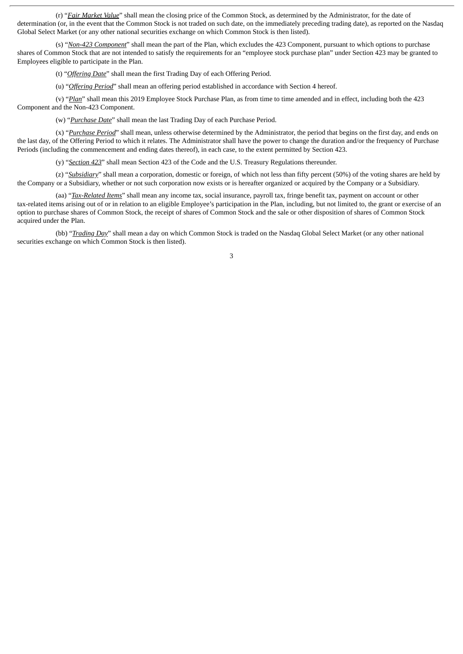(r) "*Fair Market Value*" shall mean the closing price of the Common Stock, as determined by the Administrator, for the date of determination (or, in the event that the Common Stock is not traded on such date, on the immediately preceding trading date), as reported on the Nasdaq Global Select Market (or any other national securities exchange on which Common Stock is then listed).

(s) "*Non-423 Component*" shall mean the part of the Plan, which excludes the 423 Component, pursuant to which options to purchase shares of Common Stock that are not intended to satisfy the requirements for an "employee stock purchase plan" under Section 423 may be granted to Employees eligible to participate in the Plan.

(t) "*Offering Date*" shall mean the first Trading Day of each Offering Period.

(u) "*Offering Period*" shall mean an offering period established in accordance with Section 4 hereof.

(v) "*Plan*" shall mean this 2019 Employee Stock Purchase Plan, as from time to time amended and in effect, including both the 423 Component and the Non-423 Component.

(w) "*Purchase Date*" shall mean the last Trading Day of each Purchase Period.

(x) "*Purchase Period*" shall mean, unless otherwise determined by the Administrator, the period that begins on the first day, and ends on the last day, of the Offering Period to which it relates. The Administrator shall have the power to change the duration and/or the frequency of Purchase Periods (including the commencement and ending dates thereof), in each case, to the extent permitted by Section 423.

(y) "*Section 423*" shall mean Section 423 of the Code and the U.S. Treasury Regulations thereunder.

(z) "*Subsidiary*" shall mean a corporation, domestic or foreign, of which not less than fifty percent (50%) of the voting shares are held by the Company or a Subsidiary, whether or not such corporation now exists or is hereafter organized or acquired by the Company or a Subsidiary.

(aa) "*Tax-Related Items*" shall mean any income tax, social insurance, payroll tax, fringe benefit tax, payment on account or other tax-related items arising out of or in relation to an eligible Employee's participation in the Plan, including, but not limited to, the grant or exercise of an option to purchase shares of Common Stock, the receipt of shares of Common Stock and the sale or other disposition of shares of Common Stock acquired under the Plan.

(bb) "*Trading Day*" shall mean a day on which Common Stock is traded on the Nasdaq Global Select Market (or any other national securities exchange on which Common Stock is then listed).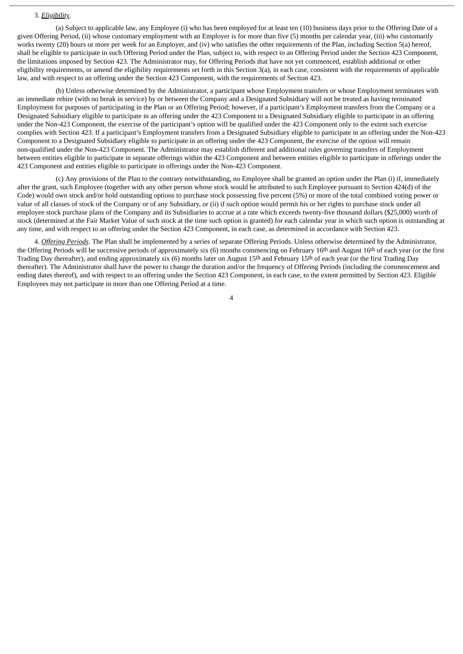#### 3. *Eligibility*.

(a) Subject to applicable law, any Employee (i) who has been employed for at least ten (10) business days prior to the Offering Date of a given Offering Period, (ii) whose customary employment with an Employer is for more than five (5) months per calendar year, (iii) who customarily works twenty (20) hours or more per week for an Employer, and (iv) who satisfies the other requirements of the Plan, including Section 5(a) hereof, shall be eligible to participate in such Offering Period under the Plan, subject to, with respect to an Offering Period under the Section 423 Component, the limitations imposed by Section 423. The Administrator may, for Offering Periods that have not yet commenced, establish additional or other eligibility requirements, or amend the eligibility requirements set forth in this Section 3(a), in each case, consistent with the requirements of applicable law, and with respect to an offering under the Section 423 Component, with the requirements of Section 423.

(b) Unless otherwise determined by the Administrator, a participant whose Employment transfers or whose Employment terminates with an immediate rehire (with no break in service) by or between the Company and a Designated Subsidiary will not be treated as having terminated Employment for purposes of participating in the Plan or an Offering Period; however, if a participant's Employment transfers from the Company or a Designated Subsidiary eligible to participate in an offering under the 423 Component to a Designated Subsidiary eligible to participate in an offering under the Non-423 Component, the exercise of the participant's option will be qualified under the 423 Component only to the extent such exercise complies with Section 423. If a participant's Employment transfers from a Designated Subsidiary eligible to participate in an offering under the Non-423 Component to a Designated Subsidiary eligible to participate in an offering under the 423 Component, the exercise of the option will remain non-qualified under the Non-423 Component. The Administrator may establish different and additional rules governing transfers of Employment between entities eligible to participate in separate offerings within the 423 Component and between entities eligible to participate in offerings under the 423 Component and entities eligible to participate in offerings under the Non-423 Component.

(c) Any provisions of the Plan to the contrary notwithstanding, no Employee shall be granted an option under the Plan (i) if, immediately after the grant, such Employee (together with any other person whose stock would be attributed to such Employee pursuant to Section 424(d) of the Code) would own stock and/or hold outstanding options to purchase stock possessing five percent (5%) or more of the total combined voting power or value of all classes of stock of the Company or of any Subsidiary, or (ii) if such option would permit his or her rights to purchase stock under all employee stock purchase plans of the Company and its Subsidiaries to accrue at a rate which exceeds twenty-five thousand dollars (\$25,000) worth of stock (determined at the Fair Market Value of such stock at the time such option is granted) for each calendar year in which such option is outstanding at any time, and with respect to an offering under the Section 423 Component, in each case, as determined in accordance with Section 423.

4. *Offering Periods*. The Plan shall be implemented by a series of separate Offering Periods. Unless otherwise determined by the Administrator, the Offering Periods will be successive periods of approximately six (6) months commencing on February 16th and August 16th of each year (or the first Trading Day thereafter), and ending approximately six (6) months later on August 15<sup>th</sup> and February 15<sup>th</sup> of each year (or the first Trading Day thereafter). The Administrator shall have the power to change the duration and/or the frequency of Offering Periods (including the commencement and ending dates thereof), and with respect to an offering under the Section 423 Component, in each case, to the extent permitted by Section 423. Eligible Employees may not participate in more than one Offering Period at a time.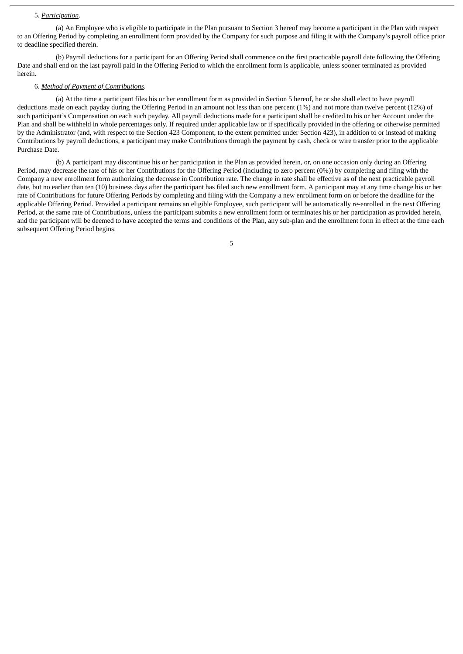#### 5. *Participation*.

(a) An Employee who is eligible to participate in the Plan pursuant to Section 3 hereof may become a participant in the Plan with respect to an Offering Period by completing an enrollment form provided by the Company for such purpose and filing it with the Company's payroll office prior to deadline specified therein.

(b) Payroll deductions for a participant for an Offering Period shall commence on the first practicable payroll date following the Offering Date and shall end on the last payroll paid in the Offering Period to which the enrollment form is applicable, unless sooner terminated as provided herein.

#### 6. *Method of Payment of Contributions*.

(a) At the time a participant files his or her enrollment form as provided in Section 5 hereof, he or she shall elect to have payroll deductions made on each payday during the Offering Period in an amount not less than one percent (1%) and not more than twelve percent (12%) of such participant's Compensation on each such payday. All payroll deductions made for a participant shall be credited to his or her Account under the Plan and shall be withheld in whole percentages only. If required under applicable law or if specifically provided in the offering or otherwise permitted by the Administrator (and, with respect to the Section 423 Component, to the extent permitted under Section 423), in addition to or instead of making Contributions by payroll deductions, a participant may make Contributions through the payment by cash, check or wire transfer prior to the applicable Purchase Date.

(b) A participant may discontinue his or her participation in the Plan as provided herein, or, on one occasion only during an Offering Period, may decrease the rate of his or her Contributions for the Offering Period (including to zero percent (0%)) by completing and filing with the Company a new enrollment form authorizing the decrease in Contribution rate. The change in rate shall be effective as of the next practicable payroll date, but no earlier than ten (10) business days after the participant has filed such new enrollment form. A participant may at any time change his or her rate of Contributions for future Offering Periods by completing and filing with the Company a new enrollment form on or before the deadline for the applicable Offering Period. Provided a participant remains an eligible Employee, such participant will be automatically re-enrolled in the next Offering Period, at the same rate of Contributions, unless the participant submits a new enrollment form or terminates his or her participation as provided herein, and the participant will be deemed to have accepted the terms and conditions of the Plan, any sub-plan and the enrollment form in effect at the time each subsequent Offering Period begins.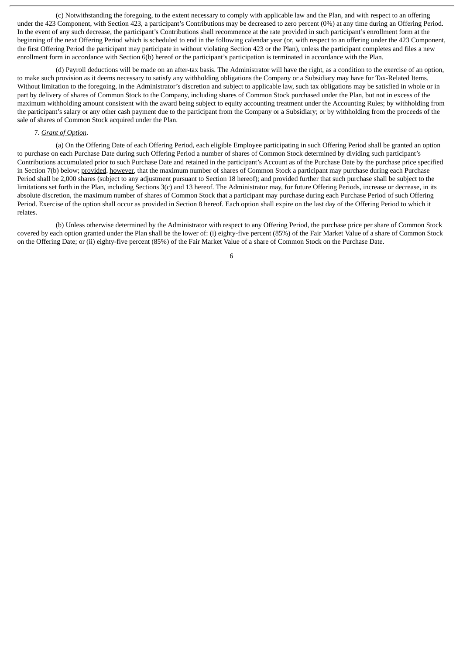(c) Notwithstanding the foregoing, to the extent necessary to comply with applicable law and the Plan, and with respect to an offering under the 423 Component, with Section 423, a participant's Contributions may be decreased to zero percent (0%) at any time during an Offering Period. In the event of any such decrease, the participant's Contributions shall recommence at the rate provided in such participant's enrollment form at the beginning of the next Offering Period which is scheduled to end in the following calendar year (or, with respect to an offering under the 423 Component, the first Offering Period the participant may participate in without violating Section 423 or the Plan), unless the participant completes and files a new enrollment form in accordance with Section 6(b) hereof or the participant's participation is terminated in accordance with the Plan.

(d) Payroll deductions will be made on an after-tax basis. The Administrator will have the right, as a condition to the exercise of an option, to make such provision as it deems necessary to satisfy any withholding obligations the Company or a Subsidiary may have for Tax-Related Items. Without limitation to the foregoing, in the Administrator's discretion and subject to applicable law, such tax obligations may be satisfied in whole or in part by delivery of shares of Common Stock to the Company, including shares of Common Stock purchased under the Plan, but not in excess of the maximum withholding amount consistent with the award being subject to equity accounting treatment under the Accounting Rules; by withholding from the participant's salary or any other cash payment due to the participant from the Company or a Subsidiary; or by withholding from the proceeds of the sale of shares of Common Stock acquired under the Plan.

# 7. *Grant of Option*.

(a) On the Offering Date of each Offering Period, each eligible Employee participating in such Offering Period shall be granted an option to purchase on each Purchase Date during such Offering Period a number of shares of Common Stock determined by dividing such participant's Contributions accumulated prior to such Purchase Date and retained in the participant's Account as of the Purchase Date by the purchase price specified in Section 7(b) below; provided, however, that the maximum number of shares of Common Stock a participant may purchase during each Purchase Period shall be 2,000 shares (subject to any adjustment pursuant to Section 18 hereof); and provided further that such purchase shall be subject to the limitations set forth in the Plan, including Sections 3(c) and 13 hereof. The Administrator may, for future Offering Periods, increase or decrease, in its absolute discretion, the maximum number of shares of Common Stock that a participant may purchase during each Purchase Period of such Offering Period. Exercise of the option shall occur as provided in Section 8 hereof. Each option shall expire on the last day of the Offering Period to which it relates.

(b) Unless otherwise determined by the Administrator with respect to any Offering Period, the purchase price per share of Common Stock covered by each option granted under the Plan shall be the lower of: (i) eighty-five percent (85%) of the Fair Market Value of a share of Common Stock on the Offering Date; or (ii) eighty-five percent (85%) of the Fair Market Value of a share of Common Stock on the Purchase Date.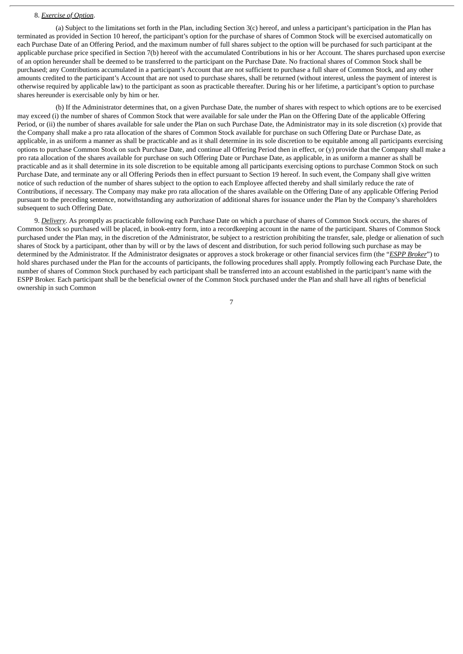#### 8. *Exercise of Option*.

(a) Subject to the limitations set forth in the Plan, including Section 3(c) hereof, and unless a participant's participation in the Plan has terminated as provided in Section 10 hereof, the participant's option for the purchase of shares of Common Stock will be exercised automatically on each Purchase Date of an Offering Period, and the maximum number of full shares subject to the option will be purchased for such participant at the applicable purchase price specified in Section 7(b) hereof with the accumulated Contributions in his or her Account. The shares purchased upon exercise of an option hereunder shall be deemed to be transferred to the participant on the Purchase Date. No fractional shares of Common Stock shall be purchased; any Contributions accumulated in a participant's Account that are not sufficient to purchase a full share of Common Stock, and any other amounts credited to the participant's Account that are not used to purchase shares, shall be returned (without interest, unless the payment of interest is otherwise required by applicable law) to the participant as soon as practicable thereafter. During his or her lifetime, a participant's option to purchase shares hereunder is exercisable only by him or her.

(b) If the Administrator determines that, on a given Purchase Date, the number of shares with respect to which options are to be exercised may exceed (i) the number of shares of Common Stock that were available for sale under the Plan on the Offering Date of the applicable Offering Period, or (ii) the number of shares available for sale under the Plan on such Purchase Date, the Administrator may in its sole discretion (x) provide that the Company shall make a pro rata allocation of the shares of Common Stock available for purchase on such Offering Date or Purchase Date, as applicable, in as uniform a manner as shall be practicable and as it shall determine in its sole discretion to be equitable among all participants exercising options to purchase Common Stock on such Purchase Date, and continue all Offering Period then in effect, or (y) provide that the Company shall make a pro rata allocation of the shares available for purchase on such Offering Date or Purchase Date, as applicable, in as uniform a manner as shall be practicable and as it shall determine in its sole discretion to be equitable among all participants exercising options to purchase Common Stock on such Purchase Date, and terminate any or all Offering Periods then in effect pursuant to Section 19 hereof. In such event, the Company shall give written notice of such reduction of the number of shares subject to the option to each Employee affected thereby and shall similarly reduce the rate of Contributions, if necessary. The Company may make pro rata allocation of the shares available on the Offering Date of any applicable Offering Period pursuant to the preceding sentence, notwithstanding any authorization of additional shares for issuance under the Plan by the Company's shareholders subsequent to such Offering Date.

9. *Delivery*. As promptly as practicable following each Purchase Date on which a purchase of shares of Common Stock occurs, the shares of Common Stock so purchased will be placed, in book-entry form, into a recordkeeping account in the name of the participant. Shares of Common Stock purchased under the Plan may, in the discretion of the Administrator, be subject to a restriction prohibiting the transfer, sale, pledge or alienation of such shares of Stock by a participant, other than by will or by the laws of descent and distribution, for such period following such purchase as may be determined by the Administrator. If the Administrator designates or approves a stock brokerage or other financial services firm (the "*ESPP Broker*") to hold shares purchased under the Plan for the accounts of participants, the following procedures shall apply. Promptly following each Purchase Date, the number of shares of Common Stock purchased by each participant shall be transferred into an account established in the participant's name with the ESPP Broker. Each participant shall be the beneficial owner of the Common Stock purchased under the Plan and shall have all rights of beneficial ownership in such Common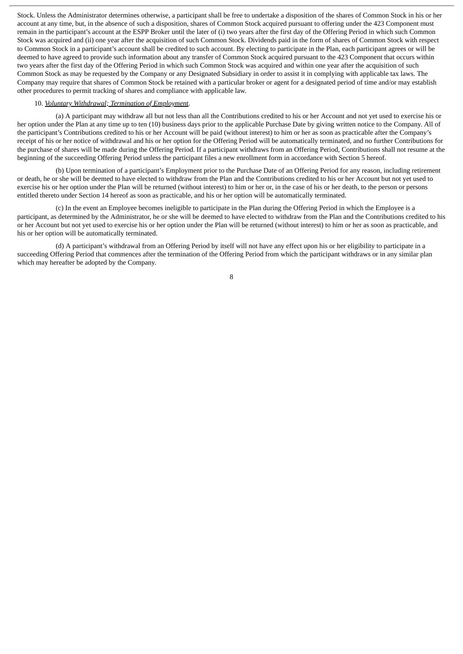Stock. Unless the Administrator determines otherwise, a participant shall be free to undertake a disposition of the shares of Common Stock in his or her account at any time, but, in the absence of such a disposition, shares of Common Stock acquired pursuant to offering under the 423 Component must remain in the participant's account at the ESPP Broker until the later of (i) two years after the first day of the Offering Period in which such Common Stock was acquired and (ii) one year after the acquisition of such Common Stock. Dividends paid in the form of shares of Common Stock with respect to Common Stock in a participant's account shall be credited to such account. By electing to participate in the Plan, each participant agrees or will be deemed to have agreed to provide such information about any transfer of Common Stock acquired pursuant to the 423 Component that occurs within two years after the first day of the Offering Period in which such Common Stock was acquired and within one year after the acquisition of such Common Stock as may be requested by the Company or any Designated Subsidiary in order to assist it in complying with applicable tax laws. The Company may require that shares of Common Stock be retained with a particular broker or agent for a designated period of time and/or may establish other procedures to permit tracking of shares and compliance with applicable law.

# 10. *Voluntary Withdrawal; Termination of Employment*.

(a) A participant may withdraw all but not less than all the Contributions credited to his or her Account and not yet used to exercise his or her option under the Plan at any time up to ten (10) business days prior to the applicable Purchase Date by giving written notice to the Company. All of the participant's Contributions credited to his or her Account will be paid (without interest) to him or her as soon as practicable after the Company's receipt of his or her notice of withdrawal and his or her option for the Offering Period will be automatically terminated, and no further Contributions for the purchase of shares will be made during the Offering Period. If a participant withdraws from an Offering Period, Contributions shall not resume at the beginning of the succeeding Offering Period unless the participant files a new enrollment form in accordance with Section 5 hereof.

(b) Upon termination of a participant's Employment prior to the Purchase Date of an Offering Period for any reason, including retirement or death, he or she will be deemed to have elected to withdraw from the Plan and the Contributions credited to his or her Account but not yet used to exercise his or her option under the Plan will be returned (without interest) to him or her or, in the case of his or her death, to the person or persons entitled thereto under Section 14 hereof as soon as practicable, and his or her option will be automatically terminated.

(c) In the event an Employee becomes ineligible to participate in the Plan during the Offering Period in which the Employee is a participant, as determined by the Administrator, he or she will be deemed to have elected to withdraw from the Plan and the Contributions credited to his or her Account but not yet used to exercise his or her option under the Plan will be returned (without interest) to him or her as soon as practicable, and his or her option will be automatically terminated.

(d) A participant's withdrawal from an Offering Period by itself will not have any effect upon his or her eligibility to participate in a succeeding Offering Period that commences after the termination of the Offering Period from which the participant withdraws or in any similar plan which may hereafter be adopted by the Company.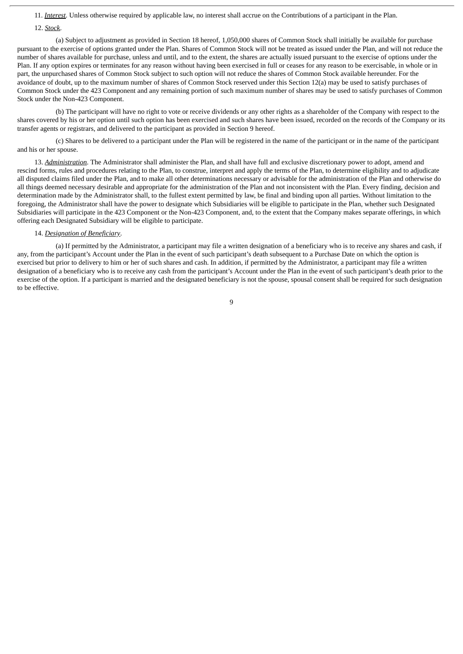11. *Interest*. Unless otherwise required by applicable law, no interest shall accrue on the Contributions of a participant in the Plan.

12. *Stock*.

(a) Subject to adjustment as provided in Section 18 hereof, 1,050,000 shares of Common Stock shall initially be available for purchase pursuant to the exercise of options granted under the Plan. Shares of Common Stock will not be treated as issued under the Plan, and will not reduce the number of shares available for purchase, unless and until, and to the extent, the shares are actually issued pursuant to the exercise of options under the Plan. If any option expires or terminates for any reason without having been exercised in full or ceases for any reason to be exercisable, in whole or in part, the unpurchased shares of Common Stock subject to such option will not reduce the shares of Common Stock available hereunder. For the avoidance of doubt, up to the maximum number of shares of Common Stock reserved under this Section 12(a) may be used to satisfy purchases of Common Stock under the 423 Component and any remaining portion of such maximum number of shares may be used to satisfy purchases of Common Stock under the Non-423 Component.

(b) The participant will have no right to vote or receive dividends or any other rights as a shareholder of the Company with respect to the shares covered by his or her option until such option has been exercised and such shares have been issued, recorded on the records of the Company or its transfer agents or registrars, and delivered to the participant as provided in Section 9 hereof.

(c) Shares to be delivered to a participant under the Plan will be registered in the name of the participant or in the name of the participant and his or her spouse.

13. *Administration*. The Administrator shall administer the Plan, and shall have full and exclusive discretionary power to adopt, amend and rescind forms, rules and procedures relating to the Plan, to construe, interpret and apply the terms of the Plan, to determine eligibility and to adjudicate all disputed claims filed under the Plan, and to make all other determinations necessary or advisable for the administration of the Plan and otherwise do all things deemed necessary desirable and appropriate for the administration of the Plan and not inconsistent with the Plan. Every finding, decision and determination made by the Administrator shall, to the fullest extent permitted by law, be final and binding upon all parties. Without limitation to the foregoing, the Administrator shall have the power to designate which Subsidiaries will be eligible to participate in the Plan, whether such Designated Subsidiaries will participate in the 423 Component or the Non-423 Component, and, to the extent that the Company makes separate offerings, in which offering each Designated Subsidiary will be eligible to participate.

# 14. *Designation of Beneficiary*.

(a) If permitted by the Administrator, a participant may file a written designation of a beneficiary who is to receive any shares and cash, if any, from the participant's Account under the Plan in the event of such participant's death subsequent to a Purchase Date on which the option is exercised but prior to delivery to him or her of such shares and cash. In addition, if permitted by the Administrator, a participant may file a written designation of a beneficiary who is to receive any cash from the participant's Account under the Plan in the event of such participant's death prior to the exercise of the option. If a participant is married and the designated beneficiary is not the spouse, spousal consent shall be required for such designation to be effective.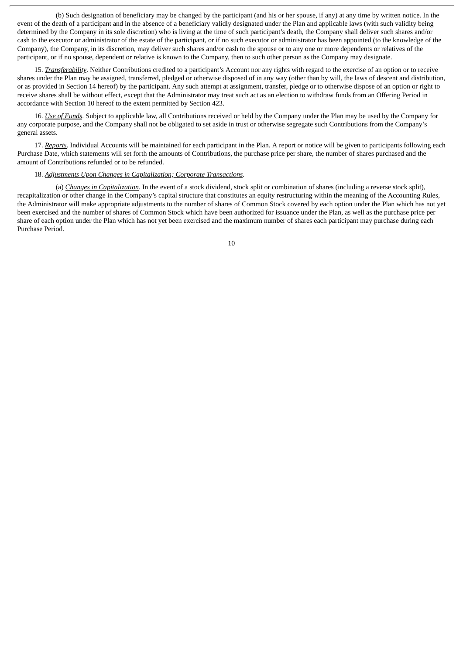(b) Such designation of beneficiary may be changed by the participant (and his or her spouse, if any) at any time by written notice. In the event of the death of a participant and in the absence of a beneficiary validly designated under the Plan and applicable laws (with such validity being determined by the Company in its sole discretion) who is living at the time of such participant's death, the Company shall deliver such shares and/or cash to the executor or administrator of the estate of the participant, or if no such executor or administrator has been appointed (to the knowledge of the Company), the Company, in its discretion, may deliver such shares and/or cash to the spouse or to any one or more dependents or relatives of the participant, or if no spouse, dependent or relative is known to the Company, then to such other person as the Company may designate.

15. *Transferability*. Neither Contributions credited to a participant's Account nor any rights with regard to the exercise of an option or to receive shares under the Plan may be assigned, transferred, pledged or otherwise disposed of in any way (other than by will, the laws of descent and distribution, or as provided in Section 14 hereof) by the participant. Any such attempt at assignment, transfer, pledge or to otherwise dispose of an option or right to receive shares shall be without effect, except that the Administrator may treat such act as an election to withdraw funds from an Offering Period in accordance with Section 10 hereof to the extent permitted by Section 423.

16. *Use of Funds*. Subject to applicable law, all Contributions received or held by the Company under the Plan may be used by the Company for any corporate purpose, and the Company shall not be obligated to set aside in trust or otherwise segregate such Contributions from the Company's general assets.

17. *Reports*. Individual Accounts will be maintained for each participant in the Plan. A report or notice will be given to participants following each Purchase Date, which statements will set forth the amounts of Contributions, the purchase price per share, the number of shares purchased and the amount of Contributions refunded or to be refunded.

# 18. *Adjustments Upon Changes in Capitalization; Corporate Transactions*.

(a) *Changes in Capitalization*. In the event of a stock dividend, stock split or combination of shares (including a reverse stock split), recapitalization or other change in the Company's capital structure that constitutes an equity restructuring within the meaning of the Accounting Rules, the Administrator will make appropriate adjustments to the number of shares of Common Stock covered by each option under the Plan which has not yet been exercised and the number of shares of Common Stock which have been authorized for issuance under the Plan, as well as the purchase price per share of each option under the Plan which has not yet been exercised and the maximum number of shares each participant may purchase during each Purchase Period.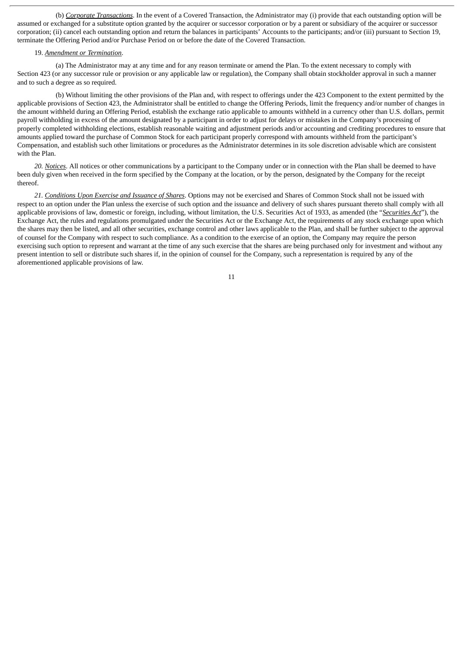(b) *Corporate Transactions*. In the event of a Covered Transaction, the Administrator may (i) provide that each outstanding option will be assumed or exchanged for a substitute option granted by the acquirer or successor corporation or by a parent or subsidiary of the acquirer or successor corporation; (ii) cancel each outstanding option and return the balances in participants' Accounts to the participants; and/or (iii) pursuant to Section 19, terminate the Offering Period and/or Purchase Period on or before the date of the Covered Transaction.

#### 19. *Amendment or Termination*.

(a) The Administrator may at any time and for any reason terminate or amend the Plan. To the extent necessary to comply with Section 423 (or any successor rule or provision or any applicable law or regulation), the Company shall obtain stockholder approval in such a manner and to such a degree as so required.

(b) Without limiting the other provisions of the Plan and, with respect to offerings under the 423 Component to the extent permitted by the applicable provisions of Section 423, the Administrator shall be entitled to change the Offering Periods, limit the frequency and/or number of changes in the amount withheld during an Offering Period, establish the exchange ratio applicable to amounts withheld in a currency other than U.S. dollars, permit payroll withholding in excess of the amount designated by a participant in order to adjust for delays or mistakes in the Company's processing of properly completed withholding elections, establish reasonable waiting and adjustment periods and/or accounting and crediting procedures to ensure that amounts applied toward the purchase of Common Stock for each participant properly correspond with amounts withheld from the participant's Compensation, and establish such other limitations or procedures as the Administrator determines in its sole discretion advisable which are consistent with the Plan.

*20. Notices*. All notices or other communications by a participant to the Company under or in connection with the Plan shall be deemed to have been duly given when received in the form specified by the Company at the location, or by the person, designated by the Company for the receipt thereof.

*21. Conditions Upon Exercise and Issuance of Shares*. Options may not be exercised and Shares of Common Stock shall not be issued with respect to an option under the Plan unless the exercise of such option and the issuance and delivery of such shares pursuant thereto shall comply with all applicable provisions of law, domestic or foreign, including, without limitation, the U.S. Securities Act of 1933, as amended (the "*Securities Act*"), the Exchange Act, the rules and regulations promulgated under the Securities Act or the Exchange Act, the requirements of any stock exchange upon which the shares may then be listed, and all other securities, exchange control and other laws applicable to the Plan, and shall be further subject to the approval of counsel for the Company with respect to such compliance. As a condition to the exercise of an option, the Company may require the person exercising such option to represent and warrant at the time of any such exercise that the shares are being purchased only for investment and without any present intention to sell or distribute such shares if, in the opinion of counsel for the Company, such a representation is required by any of the aforementioned applicable provisions of law.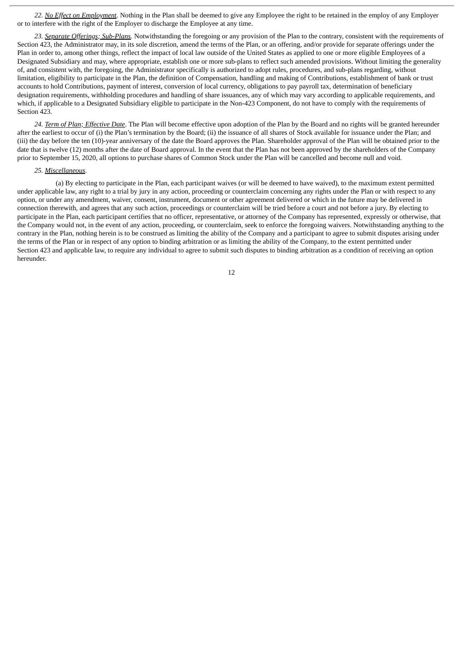*22. No Effect on Employment*. Nothing in the Plan shall be deemed to give any Employee the right to be retained in the employ of any Employer or to interfere with the right of the Employer to discharge the Employee at any time.

*23. Separate Offerings; Sub-Plans.* Notwithstanding the foregoing or any provision of the Plan to the contrary, consistent with the requirements of Section 423, the Administrator may, in its sole discretion, amend the terms of the Plan, or an offering, and/or provide for separate offerings under the Plan in order to, among other things, reflect the impact of local law outside of the United States as applied to one or more eligible Employees of a Designated Subsidiary and may, where appropriate, establish one or more sub-plans to reflect such amended provisions. Without limiting the generality of, and consistent with, the foregoing, the Administrator specifically is authorized to adopt rules, procedures, and sub-plans regarding, without limitation, eligibility to participate in the Plan, the definition of Compensation, handling and making of Contributions, establishment of bank or trust accounts to hold Contributions, payment of interest, conversion of local currency, obligations to pay payroll tax, determination of beneficiary designation requirements, withholding procedures and handling of share issuances, any of which may vary according to applicable requirements, and which, if applicable to a Designated Subsidiary eligible to participate in the Non-423 Component, do not have to comply with the requirements of Section 423.

*24. Term of Plan; Effective Date*. The Plan will become effective upon adoption of the Plan by the Board and no rights will be granted hereunder after the earliest to occur of (i) the Plan's termination by the Board; (ii) the issuance of all shares of Stock available for issuance under the Plan; and (iii) the day before the ten (10)-year anniversary of the date the Board approves the Plan. Shareholder approval of the Plan will be obtained prior to the date that is twelve (12) months after the date of Board approval. In the event that the Plan has not been approved by the shareholders of the Company prior to September 15, 2020, all options to purchase shares of Common Stock under the Plan will be cancelled and become null and void.

#### *25. Miscellaneous*.

(a) By electing to participate in the Plan, each participant waives (or will be deemed to have waived), to the maximum extent permitted under applicable law, any right to a trial by jury in any action, proceeding or counterclaim concerning any rights under the Plan or with respect to any option, or under any amendment, waiver, consent, instrument, document or other agreement delivered or which in the future may be delivered in connection therewith, and agrees that any such action, proceedings or counterclaim will be tried before a court and not before a jury. By electing to participate in the Plan, each participant certifies that no officer, representative, or attorney of the Company has represented, expressly or otherwise, that the Company would not, in the event of any action, proceeding, or counterclaim, seek to enforce the foregoing waivers. Notwithstanding anything to the contrary in the Plan, nothing herein is to be construed as limiting the ability of the Company and a participant to agree to submit disputes arising under the terms of the Plan or in respect of any option to binding arbitration or as limiting the ability of the Company, to the extent permitted under Section 423 and applicable law, to require any individual to agree to submit such disputes to binding arbitration as a condition of receiving an option hereunder.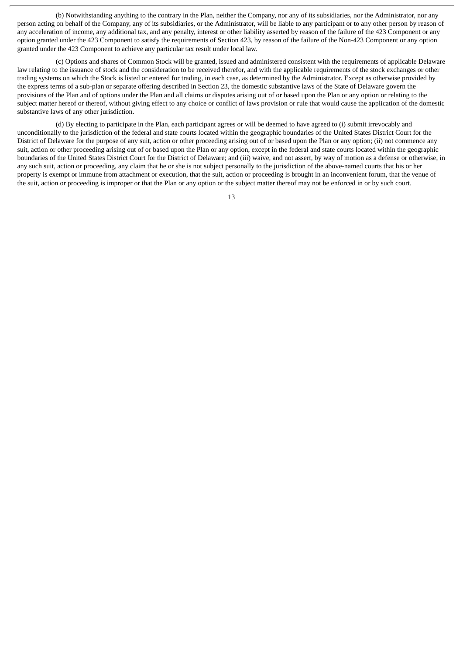(b) Notwithstanding anything to the contrary in the Plan, neither the Company, nor any of its subsidiaries, nor the Administrator, nor any person acting on behalf of the Company, any of its subsidiaries, or the Administrator, will be liable to any participant or to any other person by reason of any acceleration of income, any additional tax, and any penalty, interest or other liability asserted by reason of the failure of the 423 Component or any option granted under the 423 Component to satisfy the requirements of Section 423, by reason of the failure of the Non-423 Component or any option granted under the 423 Component to achieve any particular tax result under local law.

(c) Options and shares of Common Stock will be granted, issued and administered consistent with the requirements of applicable Delaware law relating to the issuance of stock and the consideration to be received therefor, and with the applicable requirements of the stock exchanges or other trading systems on which the Stock is listed or entered for trading, in each case, as determined by the Administrator. Except as otherwise provided by the express terms of a sub-plan or separate offering described in Section 23, the domestic substantive laws of the State of Delaware govern the provisions of the Plan and of options under the Plan and all claims or disputes arising out of or based upon the Plan or any option or relating to the subject matter hereof or thereof, without giving effect to any choice or conflict of laws provision or rule that would cause the application of the domestic substantive laws of any other jurisdiction.

(d) By electing to participate in the Plan, each participant agrees or will be deemed to have agreed to (i) submit irrevocably and unconditionally to the jurisdiction of the federal and state courts located within the geographic boundaries of the United States District Court for the District of Delaware for the purpose of any suit, action or other proceeding arising out of or based upon the Plan or any option; (ii) not commence any suit, action or other proceeding arising out of or based upon the Plan or any option, except in the federal and state courts located within the geographic boundaries of the United States District Court for the District of Delaware; and (iii) waive, and not assert, by way of motion as a defense or otherwise, in any such suit, action or proceeding, any claim that he or she is not subject personally to the jurisdiction of the above-named courts that his or her property is exempt or immune from attachment or execution, that the suit, action or proceeding is brought in an inconvenient forum, that the venue of the suit, action or proceeding is improper or that the Plan or any option or the subject matter thereof may not be enforced in or by such court.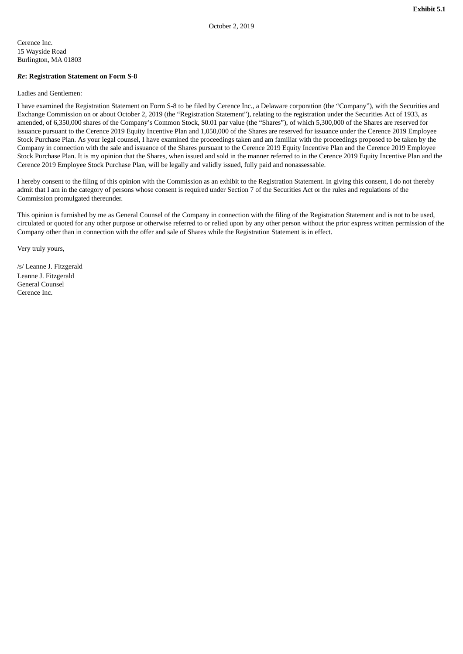Cerence Inc. 15 Wayside Road Burlington, MA 01803

#### *Re***: Registration Statement on Form S-8**

Ladies and Gentlemen:

I have examined the Registration Statement on Form S-8 to be filed by Cerence Inc., a Delaware corporation (the "Company"), with the Securities and Exchange Commission on or about October 2, 2019 (the "Registration Statement"), relating to the registration under the Securities Act of 1933, as amended, of 6,350,000 shares of the Company's Common Stock, \$0.01 par value (the "Shares"), of which 5,300,000 of the Shares are reserved for issuance pursuant to the Cerence 2019 Equity Incentive Plan and 1,050,000 of the Shares are reserved for issuance under the Cerence 2019 Employee Stock Purchase Plan. As your legal counsel, I have examined the proceedings taken and am familiar with the proceedings proposed to be taken by the Company in connection with the sale and issuance of the Shares pursuant to the Cerence 2019 Equity Incentive Plan and the Cerence 2019 Employee Stock Purchase Plan. It is my opinion that the Shares, when issued and sold in the manner referred to in the Cerence 2019 Equity Incentive Plan and the Cerence 2019 Employee Stock Purchase Plan, will be legally and validly issued, fully paid and nonassessable.

I hereby consent to the filing of this opinion with the Commission as an exhibit to the Registration Statement. In giving this consent, I do not thereby admit that I am in the category of persons whose consent is required under Section 7 of the Securities Act or the rules and regulations of the Commission promulgated thereunder.

This opinion is furnished by me as General Counsel of the Company in connection with the filing of the Registration Statement and is not to be used, circulated or quoted for any other purpose or otherwise referred to or relied upon by any other person without the prior express written permission of the Company other than in connection with the offer and sale of Shares while the Registration Statement is in effect.

Very truly yours,

/s/ Leanne J. Fitzgerald

Leanne J. Fitzgerald General Counsel Cerence Inc.